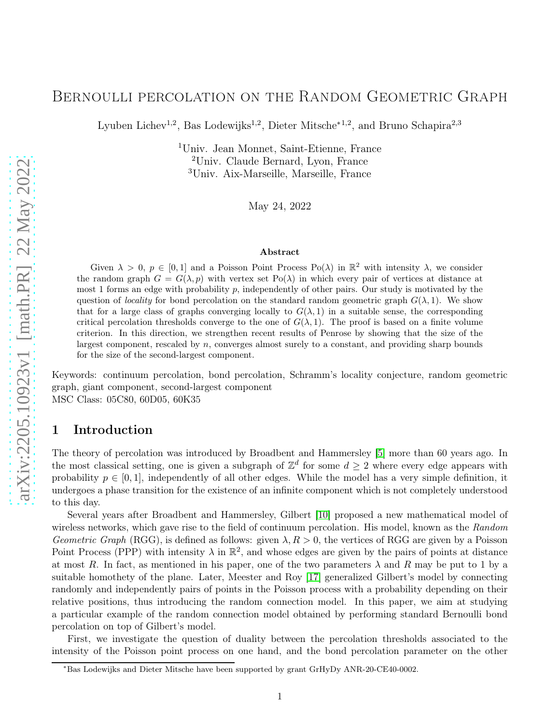# Bernoulli percolation on the Random Geometric Graph

Lyuben Lichev<sup>1,2</sup>, Bas Lodewijks<sup>1,2</sup>, Dieter Mitsche<sup>∗1,2</sup>, and Bruno Schapira<sup>2,3</sup>

<sup>1</sup>Univ. Jean Monnet, Saint-Etienne, France <sup>2</sup>Univ. Claude Bernard, Lyon, France <sup>3</sup>Univ. Aix-Marseille, Marseille, France

May 24, 2022

#### Abstract

Given  $\lambda > 0$ ,  $p \in [0,1]$  and a Poisson Point Process Po( $\lambda$ ) in  $\mathbb{R}^2$  with intensity  $\lambda$ , we consider the random graph  $G = G(\lambda, p)$  with vertex set Po( $\lambda$ ) in which every pair of vertices at distance at most 1 forms an edge with probability p, independently of other pairs. Our study is motivated by the question of *locality* for bond percolation on the standard random geometric graph  $G(\lambda, 1)$ . We show that for a large class of graphs converging locally to  $G(\lambda, 1)$  in a suitable sense, the corresponding critical percolation thresholds converge to the one of  $G(\lambda, 1)$ . The proof is based on a finite volume criterion. In this direction, we strengthen recent results of Penrose by showing that the size of the largest component, rescaled by  $n$ , converges almost surely to a constant, and providing sharp bounds for the size of the second-largest component.

Keywords: continuum percolation, bond percolation, Schramm's locality conjecture, random geometric graph, giant component, second-largest component MSC Class: 05C80, 60D05, 60K35

## 1 Introduction

The theory of percolation was introduced by Broadbent and Hammersley [\[5\]](#page-19-0) more than 60 years ago. In the most classical setting, one is given a subgraph of  $\mathbb{Z}^d$  for some  $d \geq 2$  where every edge appears with probability  $p \in [0, 1]$ , independently of all other edges. While the model has a very simple definition, it undergoes a phase transition for the existence of an infinite component which is not completely understood to this day.

Several years after Broadbent and Hammersley, Gilbert [\[10\]](#page-19-1) proposed a new mathematical model of wireless networks, which gave rise to the field of continuum percolation. His model, known as the *Random Geometric Graph* (RGG), is defined as follows: given  $\lambda$ ,  $R > 0$ , the vertices of RGG are given by a Poisson Point Process (PPP) with intensity  $\lambda$  in  $\mathbb{R}^2$ , and whose edges are given by the pairs of points at distance at most R. In fact, as mentioned in his paper, one of the two parameters  $\lambda$  and R may be put to 1 by a suitable homothety of the plane. Later, Meester and Roy [\[17\]](#page-20-0) generalized Gilbert's model by connecting randomly and independently pairs of points in the Poisson process with a probability depending on their relative positions, thus introducing the random connection model. In this paper, we aim at studying a particular example of the random connection model obtained by performing standard Bernoulli bond percolation on top of Gilbert's model.

First, we investigate the question of duality between the percolation thresholds associated to the intensity of the Poisson point process on one hand, and the bond percolation parameter on the other

<sup>∗</sup>Bas Lodewijks and Dieter Mitsche have been supported by grant GrHyDy ANR-20-CE40-0002.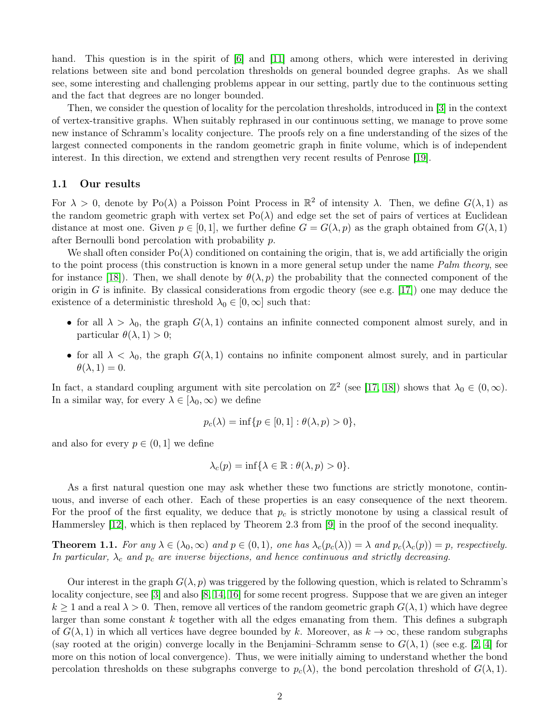hand. This question is in the spirit of [\[6\]](#page-19-2) and [\[11\]](#page-19-3) among others, which were interested in deriving relations between site and bond percolation thresholds on general bounded degree graphs. As we shall see, some interesting and challenging problems appear in our setting, partly due to the continuous setting and the fact that degrees are no longer bounded.

Then, we consider the question of locality for the percolation thresholds, introduced in [\[3\]](#page-19-4) in the context of vertex-transitive graphs. When suitably rephrased in our continuous setting, we manage to prove some new instance of Schramm's locality conjecture. The proofs rely on a fine understanding of the sizes of the largest connected components in the random geometric graph in finite volume, which is of independent interest. In this direction, we extend and strengthen very recent results of Penrose [\[19\]](#page-20-1).

### 1.1 Our results

For  $\lambda > 0$ , denote by Po( $\lambda$ ) a Poisson Point Process in  $\mathbb{R}^2$  of intensity  $\lambda$ . Then, we define  $G(\lambda, 1)$  as the random geometric graph with vertex set  $Po(\lambda)$  and edge set the set of pairs of vertices at Euclidean distance at most one. Given  $p \in [0, 1]$ , we further define  $G = G(\lambda, p)$  as the graph obtained from  $G(\lambda, 1)$ after Bernoulli bond percolation with probability p.

We shall often consider  $Po(\lambda)$  conditioned on containing the origin, that is, we add artificially the origin to the point process (this construction is known in a more general setup under the name *Palm theory*, see for instance [\[18\]](#page-20-2)). Then, we shall denote by  $\theta(\lambda, p)$  the probability that the connected component of the origin in G is infinite. By classical considerations from ergodic theory (see e.g. [\[17\]](#page-20-0)) one may deduce the existence of a deterministic threshold  $\lambda_0 \in [0,\infty]$  such that:

- for all  $\lambda > \lambda_0$ , the graph  $G(\lambda, 1)$  contains an infinite connected component almost surely, and in particular  $\theta(\lambda, 1) > 0$ ;
- for all  $\lambda < \lambda_0$ , the graph  $G(\lambda, 1)$  contains no infinite component almost surely, and in particular  $\theta(\lambda, 1) = 0.$

In fact, a standard coupling argument with site percolation on  $\mathbb{Z}^2$  (see [\[17,](#page-20-0) [18\]](#page-20-2)) shows that  $\lambda_0 \in (0, \infty)$ . In a similar way, for every  $\lambda \in [\lambda_0, \infty)$  we define

$$
p_c(\lambda) = \inf \{ p \in [0, 1] : \theta(\lambda, p) > 0 \},\
$$

and also for every  $p \in (0, 1]$  we define

$$
\lambda_c(p) = \inf \{ \lambda \in \mathbb{R} : \theta(\lambda, p) > 0 \}.
$$

As a first natural question one may ask whether these two functions are strictly monotone, continuous, and inverse of each other. Each of these properties is an easy consequence of the next theorem. For the proof of the first equality, we deduce that  $p_c$  is strictly monotone by using a classical result of Hammersley [\[12\]](#page-19-5), which is then replaced by Theorem 2.3 from [\[9\]](#page-19-6) in the proof of the second inequality.

<span id="page-1-0"></span>**Theorem 1.1.** *For any*  $\lambda \in (\lambda_0, \infty)$  *and*  $p \in (0, 1)$ *, one has*  $\lambda_c(p_c(\lambda)) = \lambda$  *and*  $p_c(\lambda_c(p)) = p$ *, respectively. In particular,*  $\lambda_c$  *and*  $p_c$  *are inverse bijections, and hence continuous and strictly decreasing.* 

Our interest in the graph  $G(\lambda, p)$  was triggered by the following question, which is related to Schramm's locality conjecture, see [\[3\]](#page-19-4) and also [\[8,](#page-19-7) [14,](#page-20-3) [16\]](#page-20-4) for some recent progress. Suppose that we are given an integer  $k \geq 1$  and a real  $\lambda > 0$ . Then, remove all vertices of the random geometric graph  $G(\lambda, 1)$  which have degree larger than some constant  $k$  together with all the edges emanating from them. This defines a subgraph of  $G(\lambda, 1)$  in which all vertices have degree bounded by k. Moreover, as  $k \to \infty$ , these random subgraphs (say rooted at the origin) converge locally in the Benjamini–Schramm sense to  $G(\lambda, 1)$  (see e.g. [\[2,](#page-19-8) [4\]](#page-19-9) for more on this notion of local convergence). Thus, we were initially aiming to understand whether the bond percolation thresholds on these subgraphs converge to  $p_c(\lambda)$ , the bond percolation threshold of  $G(\lambda, 1)$ .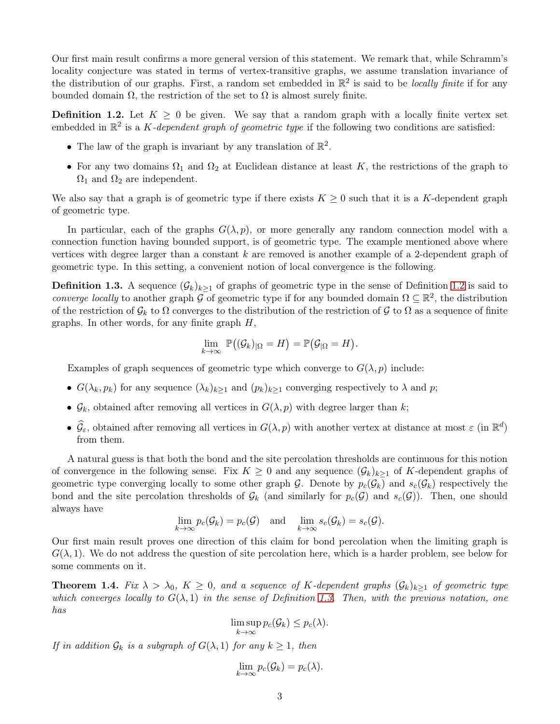Our first main result confirms a more general version of this statement. We remark that, while Schramm's locality conjecture was stated in terms of vertex-transitive graphs, we assume translation invariance of the distribution of our graphs. First, a random set embedded in  $\mathbb{R}^2$  is said to be *locally finite* if for any bounded domain  $\Omega$ , the restriction of the set to  $\Omega$  is almost surely finite.

<span id="page-2-0"></span>**Definition 1.2.** Let  $K \geq 0$  be given. We say that a random graph with a locally finite vertex set embedded in R 2 is a K*-dependent graph of geometric type* if the following two conditions are satisfied:

- The law of the graph is invariant by any translation of  $\mathbb{R}^2$ .
- For any two domains  $\Omega_1$  and  $\Omega_2$  at Euclidean distance at least K, the restrictions of the graph to  $\Omega_1$  and  $\Omega_2$  are independent.

We also say that a graph is of geometric type if there exists  $K \geq 0$  such that it is a K-dependent graph of geometric type.

In particular, each of the graphs  $G(\lambda, p)$ , or more generally any random connection model with a connection function having bounded support, is of geometric type. The example mentioned above where vertices with degree larger than a constant  $k$  are removed is another example of a 2-dependent graph of geometric type. In this setting, a convenient notion of local convergence is the following.

<span id="page-2-1"></span>**Definition 1.3.** A sequence  $(\mathcal{G}_k)_{k\geq 1}$  of graphs of geometric type in the sense of Definition [1.2](#page-2-0) is said to *converge locally* to another graph G of geometric type if for any bounded domain  $\Omega \subseteq \mathbb{R}^2$ , the distribution of the restriction of  $\mathcal{G}_k$  to  $\Omega$  converges to the distribution of the restriction of  $\mathcal{G}$  to  $\Omega$  as a sequence of finite graphs. In other words, for any finite graph  $H$ ,

$$
\lim_{k\to\infty} \ \mathbb{P}\big((\mathcal{G}_k)_{|\Omega} = H\big) = \mathbb{P}\big(\mathcal{G}_{|\Omega} = H\big).
$$

Examples of graph sequences of geometric type which converge to  $G(\lambda, p)$  include:

- $G(\lambda_k, p_k)$  for any sequence  $(\lambda_k)_{k>1}$  and  $(p_k)_{k>1}$  converging respectively to  $\lambda$  and  $p$ ;
- $\mathcal{G}_k$ , obtained after removing all vertices in  $G(\lambda, p)$  with degree larger than k;
- $\hat{\mathcal{G}}_{\varepsilon}$ , obtained after removing all vertices in  $G(\lambda, p)$  with another vertex at distance at most  $\varepsilon$  (in  $\mathbb{R}^d$ ) from them.

A natural guess is that both the bond and the site percolation thresholds are continuous for this notion of convergence in the following sense. Fix  $K \geq 0$  and any sequence  $(\mathcal{G}_k)_{k>1}$  of K-dependent graphs of geometric type converging locally to some other graph G. Denote by  $p_c(\mathcal{G}_k)$  and  $s_c(\mathcal{G}_k)$  respectively the bond and the site percolation thresholds of  $\mathcal{G}_k$  (and similarly for  $p_c(\mathcal{G})$ ) and  $s_c(\mathcal{G})$ ). Then, one should always have

$$
\lim_{k \to \infty} p_c(\mathcal{G}_k) = p_c(\mathcal{G}) \quad \text{and} \quad \lim_{k \to \infty} s_c(\mathcal{G}_k) = s_c(\mathcal{G}).
$$

Our first main result proves one direction of this claim for bond percolation when the limiting graph is  $G(\lambda, 1)$ . We do not address the question of site percolation here, which is a harder problem, see below for some comments on it.

<span id="page-2-2"></span>**Theorem 1.4.** *Fix*  $\lambda > \lambda_0$ ,  $K \geq 0$ , and a sequence of K-dependent graphs  $(\mathcal{G}_k)_{k>1}$  of geometric type *which converges locally to*  $G(\lambda, 1)$  *in the sense of Definition* [1.3.](#page-2-1) Then, with the previous notation, one *has*

> lim sup  $\limsup_{k\to\infty} p_c(\mathcal{G}_k) \leq p_c(\lambda).$

*If in addition*  $\mathcal{G}_k$  *is a subgraph of*  $G(\lambda, 1)$  *for any*  $k \geq 1$ *, then* 

$$
\lim_{k\to\infty}p_c(\mathcal{G}_k)=p_c(\lambda).
$$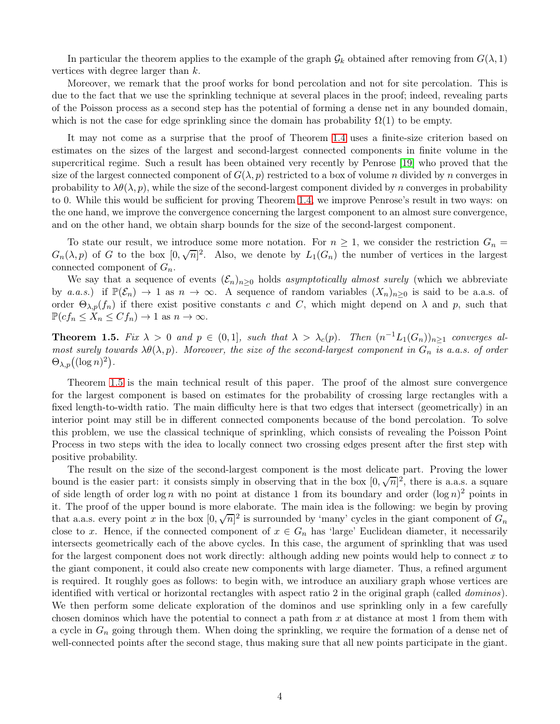In particular the theorem applies to the example of the graph  $\mathcal{G}_k$  obtained after removing from  $G(\lambda, 1)$ vertices with degree larger than k.

Moreover, we remark that the proof works for bond percolation and not for site percolation. This is due to the fact that we use the sprinkling technique at several places in the proof; indeed, revealing parts of the Poisson process as a second step has the potential of forming a dense net in any bounded domain, which is not the case for edge sprinkling since the domain has probability  $\Omega(1)$  to be empty.

It may not come as a surprise that the proof of Theorem [1.4](#page-2-2) uses a finite-size criterion based on estimates on the sizes of the largest and second-largest connected components in finite volume in the supercritical regime. Such a result has been obtained very recently by Penrose [\[19\]](#page-20-1) who proved that the size of the largest connected component of  $G(\lambda, p)$  restricted to a box of volume n divided by n converges in probability to  $\lambda \theta(\lambda, p)$ , while the size of the second-largest component divided by n converges in probability to 0. While this would be sufficient for proving Theorem [1.4,](#page-2-2) we improve Penrose's result in two ways: on the one hand, we improve the convergence concerning the largest component to an almost sure convergence, and on the other hand, we obtain sharp bounds for the size of the second-largest component.

To state our result, we introduce some more notation. For  $n \geq 1$ , we consider the restriction  $G_n =$  $G_n(\lambda, p)$  of G to the box  $[0, \sqrt{n}]^2$ . Also, we denote by  $L_1(G_n)$  the number of vertices in the largest connected component of  $G_n$ .

We say that a sequence of events  $(\mathcal{E}_n)_{n\geq 0}$  holds *asymptotically almost surely* (which we abbreviate by *a.a.s.*) if  $\mathbb{P}(\mathcal{E}_n) \to 1$  as  $n \to \infty$ . A sequence of random variables  $(X_n)_{n>0}$  is said to be a.a.s. of order  $\Theta_{\lambda,p}(f_n)$  if there exist positive constants c and C, which might depend on  $\lambda$  and p, such that  $\mathbb{P}(cf_n \leq X_n \leq Cf_n) \to 1$  as  $n \to \infty$ .

<span id="page-3-0"></span>**Theorem 1.5.** *Fix*  $\lambda > 0$  *and*  $p \in (0,1]$ *, such that*  $\lambda > \lambda_c(p)$ *. Then*  $(n^{-1}L_1(G_n))_{n \geq 1}$  *converges almost surely towards*  $\lambda \theta(\lambda, p)$ *. Moreover, the size of the second-largest component in*  $G_n$  *is a.a.s. of order*  $\Theta_{\lambda,p}((\log n)^2)$ .

Theorem [1.5](#page-3-0) is the main technical result of this paper. The proof of the almost sure convergence for the largest component is based on estimates for the probability of crossing large rectangles with a fixed length-to-width ratio. The main difficulty here is that two edges that intersect (geometrically) in an interior point may still be in different connected components because of the bond percolation. To solve this problem, we use the classical technique of sprinkling, which consists of revealing the Poisson Point Process in two steps with the idea to locally connect two crossing edges present after the first step with positive probability.

The result on the size of the second-largest component is the most delicate part. Proving the lower bound is the easier part: it consists simply in observing that in the box  $[0, \sqrt{n}]^2$ , there is a.a.s. a square of side length of order  $\log n$  with no point at distance 1 from its boundary and order  $(\log n)^2$  points in it. The proof of the upper bound is more elaborate. The main idea is the following: we begin by proving that a.a.s. every point x in the box  $[0, \sqrt{n}]^2$  is surrounded by 'many' cycles in the giant component of  $G_n$ close to x. Hence, if the connected component of  $x \in G_n$  has 'large' Euclidean diameter, it necessarily intersects geometrically each of the above cycles. In this case, the argument of sprinkling that was used for the largest component does not work directly: although adding new points would help to connect  $x$  to the giant component, it could also create new components with large diameter. Thus, a refined argument is required. It roughly goes as follows: to begin with, we introduce an auxiliary graph whose vertices are identified with vertical or horizontal rectangles with aspect ratio 2 in the original graph (called *dominos*). We then perform some delicate exploration of the dominos and use sprinkling only in a few carefully chosen dominos which have the potential to connect a path from  $x$  at distance at most 1 from them with a cycle in  $G_n$  going through them. When doing the sprinkling, we require the formation of a dense net of well-connected points after the second stage, thus making sure that all new points participate in the giant.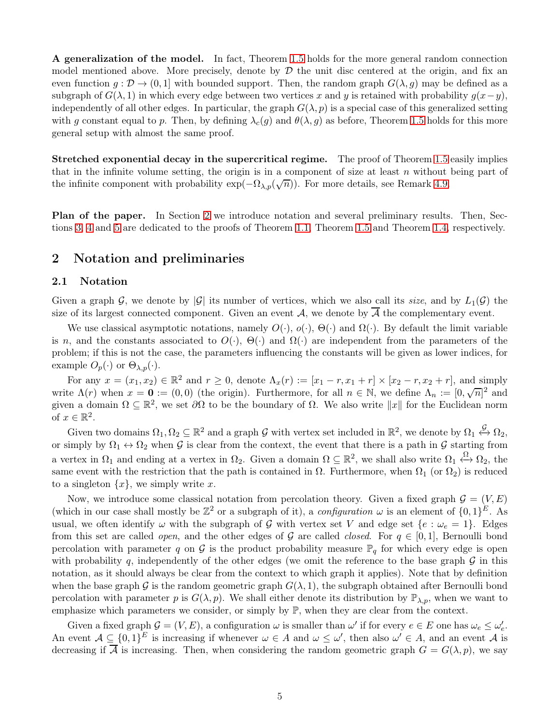A generalization of the model. In fact, Theorem [1.5](#page-3-0) holds for the more general random connection model mentioned above. More precisely, denote by  $\mathcal D$  the unit disc centered at the origin, and fix an even function  $g: \mathcal{D} \to (0, 1]$  with bounded support. Then, the random graph  $G(\lambda, g)$  may be defined as a subgraph of  $G(\lambda, 1)$  in which every edge between two vertices x and y is retained with probability  $g(x-y)$ , independently of all other edges. In particular, the graph  $G(\lambda, p)$  is a special case of this generalized setting with g constant equal to p. Then, by defining  $\lambda_c(g)$  and  $\theta(\lambda, g)$  as before, Theorem [1.5](#page-3-0) holds for this more general setup with almost the same proof.

Stretched exponential decay in the supercritical regime. The proof of Theorem [1.5](#page-3-0) easily implies that in the infinite volume setting, the origin is in a component of size at least  $n$  without being part of the infinite component with probability  $\exp(-\Omega_{\lambda,p}(\sqrt{n}))$ . For more details, see Remark [4.9.](#page-16-0)

Plan of the paper. In Section [2](#page-4-0) we introduce notation and several preliminary results. Then, Sections [3,](#page-6-0) [4](#page-6-1) and [5](#page-17-0) are dedicated to the proofs of Theorem [1.1,](#page-1-0) Theorem [1.5](#page-3-0) and Theorem [1.4,](#page-2-2) respectively.

## <span id="page-4-0"></span>2 Notation and preliminaries

### 2.1 Notation

Given a graph G, we denote by  $|\mathcal{G}|$  its number of vertices, which we also call its *size*, and by  $L_1(\mathcal{G})$  the size of its largest connected component. Given an event  $A$ , we denote by  $A$  the complementary event.

We use classical asymptotic notations, namely  $O(\cdot)$ ,  $O(\cdot)$ ,  $\Theta(\cdot)$  and  $\Omega(\cdot)$ . By default the limit variable is n, and the constants associated to  $O(\cdot)$ ,  $\Theta(\cdot)$  and  $\Omega(\cdot)$  are independent from the parameters of the problem; if this is not the case, the parameters influencing the constants will be given as lower indices, for example  $O_p(\cdot)$  or  $\Theta_{\lambda,p}(\cdot)$ .

For any  $x = (x_1, x_2) \in \mathbb{R}^2$  and  $r \geq 0$ , denote  $\Lambda_x(r) := [x_1 - r, x_1 + r] \times [x_2 - r, x_2 + r]$ , and simply write  $\Lambda(r)$  when  $x = 0 := (0,0)$  (the origin). Furthermore, for all  $n \in \mathbb{N}$ , we define  $\Lambda_n := [0, \sqrt{n}]^2$  and given a domain  $\Omega \subseteq \mathbb{R}^2$ , we set  $\partial\Omega$  to be the boundary of  $\Omega$ . We also write  $||x||$  for the Euclidean norm of  $x \in \mathbb{R}^2$ .

Given two domains  $\Omega_1, \Omega_2 \subseteq \mathbb{R}^2$  and a graph G with vertex set included in  $\mathbb{R}^2$ , we denote by  $\Omega_1 \leftrightarrow \Omega_2$ , or simply by  $\Omega_1 \leftrightarrow \Omega_2$  when G is clear from the context, the event that there is a path in G starting from a vertex in  $\Omega_1$  and ending at a vertex in  $\Omega_2$ . Given a domain  $\Omega \subseteq \mathbb{R}^2$ , we shall also write  $\Omega_1 \leftrightarrow \Omega_2$ , the same event with the restriction that the path is contained in  $\Omega$ . Furthermore, when  $\Omega_1$  (or  $\Omega_2$ ) is reduced to a singleton  $\{x\}$ , we simply write x.

Now, we introduce some classical notation from percolation theory. Given a fixed graph  $\mathcal{G} = (V, E)$ (which in our case shall mostly be  $\mathbb{Z}^2$  or a subgraph of it), a *configuration*  $\omega$  is an element of  $\{0,1\}^E$ . As usual, we often identify  $\omega$  with the subgraph of G with vertex set V and edge set  $\{e : \omega_e = 1\}$ . Edges from this set are called *open*, and the other edges of G are called *closed*. For  $q \in [0,1]$ , Bernoulli bond percolation with parameter q on G is the product probability measure  $\mathbb{P}_q$  for which every edge is open with probability q, independently of the other edges (we omit the reference to the base graph  $\mathcal G$  in this notation, as it should always be clear from the context to which graph it applies). Note that by definition when the base graph G is the random geometric graph  $G(\lambda, 1)$ , the subgraph obtained after Bernoulli bond percolation with parameter p is  $G(\lambda, p)$ . We shall either denote its distribution by  $\mathbb{P}_{\lambda, p}$ , when we want to emphasize which parameters we consider, or simply by  $\mathbb{P}$ , when they are clear from the context.

Given a fixed graph  $\mathcal{G} = (V, E)$ , a configuration  $\omega$  is smaller than  $\omega'$  if for every  $e \in E$  one has  $\omega_e \leq \omega'_e$ . An event  $\mathcal{A} \subseteq \{0,1\}^E$  is increasing if whenever  $\omega \in A$  and  $\omega \leq \omega'$ , then also  $\omega' \in A$ , and an event  $\mathcal{A}$  is decreasing if  $\overline{A}$  is increasing. Then, when considering the random geometric graph  $G = G(\lambda, p)$ , we say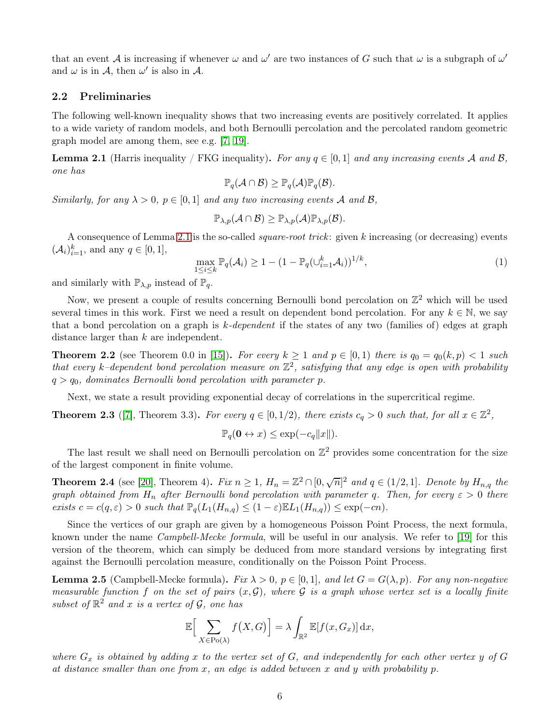that an event A is increasing if whenever  $\omega$  and  $\omega'$  are two instances of G such that  $\omega$  is a subgraph of  $\omega'$ and  $\omega$  is in  $\mathcal{A}$ , then  $\omega'$  is also in  $\mathcal{A}$ .

### 2.2 Preliminaries

The following well-known inequality shows that two increasing events are positively correlated. It applies to a wide variety of random models, and both Bernoulli percolation and the percolated random geometric graph model are among them, see e.g. [\[7,](#page-19-10) [19\]](#page-20-1).

<span id="page-5-0"></span>**Lemma 2.1** (Harris inequality / FKG inequality). For any  $q \in [0, 1]$  and any increasing events A and B, *one has*

$$
\mathbb{P}_q(\mathcal{A}\cap\mathcal{B})\geq \mathbb{P}_q(\mathcal{A})\mathbb{P}_q(\mathcal{B}).
$$

*Similarly, for any*  $\lambda > 0$ ,  $p \in [0,1]$  *and any two increasing events* A *and* B,

$$
\mathbb{P}_{\lambda,p}(\mathcal{A}\cap\mathcal{B})\geq \mathbb{P}_{\lambda,p}(\mathcal{A})\mathbb{P}_{\lambda,p}(\mathcal{B}).
$$

A consequence of Lemma [2.1](#page-5-0) is the so-called *square-root trick*: given k increasing (or decreasing) events  $(A_i)_{i=1}^k$ , and any  $q \in [0, 1]$ ,

<span id="page-5-1"></span>
$$
\max_{1 \le i \le k} \mathbb{P}_q(\mathcal{A}_i) \ge 1 - (1 - \mathbb{P}_q(\cup_{i=1}^k \mathcal{A}_i))^{1/k},\tag{1}
$$

and similarly with  $\mathbb{P}_{\lambda,p}$  instead of  $\mathbb{P}_q$ .

Now, we present a couple of results concerning Bernoulli bond percolation on  $\mathbb{Z}^2$  which will be used several times in this work. First we need a result on dependent bond percolation. For any  $k \in \mathbb{N}$ , we say that a bond percolation on a graph is k*-dependent* if the states of any two (families of) edges at graph distance larger than k are independent.

<span id="page-5-2"></span>**Theorem 2.2** (see Theorem 0.0 in [\[15\]](#page-20-5)). *For every*  $k \ge 1$  *and*  $p \in [0,1)$  *there is*  $q_0 = q_0(k, p) < 1$  *such*  $that\ every\ k-dependent\ bond\ percolation\ measure\ on\ \mathbb{Z}^2,\ satisfying\ that\ any\ edge\ is\ open\ with\ probability$  $q > q_0$ , dominates Bernoulli bond percolation with parameter p.

Next, we state a result providing exponential decay of correlations in the supercritical regime.

<span id="page-5-4"></span>**Theorem 2.3** ([\[7\]](#page-19-10), Theorem 3.3). For every  $q \in [0, 1/2)$ , there exists  $c_q > 0$  such that, for all  $x \in \mathbb{Z}^2$ ,

$$
\mathbb{P}_q(\mathbf{0} \leftrightarrow x) \le \exp(-c_q ||x||).
$$

The last result we shall need on Bernoulli percolation on  $\mathbb{Z}^2$  provides some concentration for the size of the largest component in finite volume.

<span id="page-5-3"></span>**Theorem 2.4** (see [\[20\]](#page-20-6), Theorem 4). *Fix*  $n \geq 1$ ,  $H_n = \mathbb{Z}^2 \cap [0, \sqrt{n}]^2$  and  $q \in (1/2, 1]$ . *Denote by*  $H_{n,q}$  the *graph obtained from*  $H_n$  *after Bernoulli bond percolation with parameter q. Then, for every*  $\varepsilon > 0$  *there exists*  $c = c(q, \varepsilon) > 0$  *such that*  $\mathbb{P}_q(L_1(H_{n,q}) \leq (1 - \varepsilon) \mathbb{E} L_1(H_{n,q})) \leq \exp(-cn)$ *.* 

Since the vertices of our graph are given by a homogeneous Poisson Point Process, the next formula, known under the name *Campbell-Mecke formula*, will be useful in our analysis. We refer to [\[19\]](#page-20-1) for this version of the theorem, which can simply be deduced from more standard versions by integrating first against the Bernoulli percolation measure, conditionally on the Poisson Point Process.

<span id="page-5-5"></span>**Lemma 2.5** (Campbell-Mecke formula). *Fix*  $\lambda > 0$ ,  $p \in [0,1]$ , and let  $G = G(\lambda, p)$ . For any non-negative *measurable function* f *on the set of pairs*  $(x, \mathcal{G})$ *, where*  $\mathcal{G}$  *is a graph whose vertex set is a locally finite subset of*  $\mathbb{R}^2$  *and* x *is a vertex of*  $\mathcal{G}$ *, one has* 

$$
\mathbb{E}\Big[\sum_{X \in \text{Po}(\lambda)} f(X, G)\Big] = \lambda \int_{\mathbb{R}^2} \mathbb{E}[f(x, G_x)] \,\mathrm{d}x,
$$

*where*  $G_x$  *is obtained by adding* x to the vertex set of  $G$ *, and independently for each other vertex* y of  $G$ *at distance smaller than one from* x*, an edge is added between* x *and* y *with probability* p*.*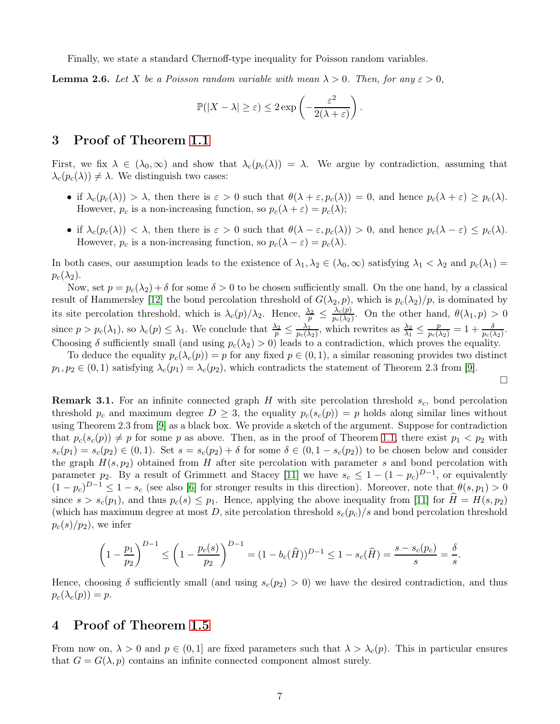Finally, we state a standard Chernoff-type inequality for Poisson random variables.

<span id="page-6-2"></span>**Lemma 2.6.** Let X be a Poisson random variable with mean  $\lambda > 0$ . Then, for any  $\varepsilon > 0$ ,

$$
\mathbb{P}(|X - \lambda| \ge \varepsilon) \le 2 \exp\left(-\frac{\varepsilon^2}{2(\lambda + \varepsilon)}\right).
$$

## <span id="page-6-0"></span>3 Proof of Theorem [1.1](#page-1-0)

First, we fix  $\lambda \in (\lambda_0, \infty)$  and show that  $\lambda_c(p_c(\lambda)) = \lambda$ . We argue by contradiction, assuming that  $\lambda_c(p_c(\lambda)) \neq \lambda$ . We distinguish two cases:

- if  $\lambda_c(p_c(\lambda)) > \lambda$ , then there is  $\varepsilon > 0$  such that  $\theta(\lambda + \varepsilon, p_c(\lambda)) = 0$ , and hence  $p_c(\lambda + \varepsilon) \geq p_c(\lambda)$ . However,  $p_c$  is a non-increasing function, so  $p_c(\lambda + \varepsilon) = p_c(\lambda);$
- if  $\lambda_c(p_c(\lambda)) < \lambda$ , then there is  $\varepsilon > 0$  such that  $\theta(\lambda \varepsilon, p_c(\lambda)) > 0$ , and hence  $p_c(\lambda \varepsilon) \leq p_c(\lambda)$ . However,  $p_c$  is a non-increasing function, so  $p_c(\lambda - \varepsilon) = p_c(\lambda)$ .

In both cases, our assumption leads to the existence of  $\lambda_1, \lambda_2 \in (\lambda_0, \infty)$  satisfying  $\lambda_1 < \lambda_2$  and  $p_c(\lambda_1)$  $p_c(\lambda_2)$ .

Now, set  $p = p_c(\lambda_2) + \delta$  for some  $\delta > 0$  to be chosen sufficiently small. On the one hand, by a classical result of Hammersley [\[12\]](#page-19-5) the bond percolation threshold of  $G(\lambda_2, p)$ , which is  $p_c(\lambda_2)/p$ , is dominated by its site percolation threshold, which is  $\lambda_c(p)/\lambda_2$ . Hence,  $\frac{\lambda_2}{p} \leq \frac{\lambda_c(p)}{p_c(\lambda_2)}$  $\frac{\lambda_c(p)}{p_c(\lambda_2)}$ . On the other hand,  $\theta(\lambda_1, p) > 0$ since  $p > p_c(\lambda_1)$ , so  $\lambda_c(p) \leq \lambda_1$ . We conclude that  $\frac{\lambda_2}{p} \leq \frac{\lambda_1}{p_c(\lambda_1)}$  $\frac{\lambda_1}{p_c(\lambda_2)}$ , which rewrites as  $\frac{\lambda_2}{\lambda_1} \leq \frac{p}{p_c(\lambda_2)} = 1 + \frac{\delta}{p_c(\lambda_2)}$ . Choosing  $\delta$  sufficiently small (and using  $p_c(\lambda_2) > 0$ ) leads to a contradiction, which proves the equality.

To deduce the equality  $p_c(\lambda_c(p)) = p$  for any fixed  $p \in (0,1)$ , a similar reasoning provides two distinct  $p_1, p_2 \in (0, 1)$  satisfying  $\lambda_c(p_1) = \lambda_c(p_2)$ , which contradicts the statement of Theorem 2.3 from [\[9\]](#page-19-6).

 $\Box$ 

**Remark 3.1.** For an infinite connected graph H with site percolation threshold  $s_c$ , bond percolation threshold  $p_c$  and maximum degree  $D \geq 3$ , the equality  $p_c(s_c(p)) = p$  holds along similar lines without using Theorem 2.3 from [\[9\]](#page-19-6) as a black box. We provide a sketch of the argument. Suppose for contradiction that  $p_c(s_c(p)) \neq p$  for some p as above. Then, as in the proof of Theorem [1.1,](#page-1-0) there exist  $p_1 < p_2$  with  $s_c(p_1) = s_c(p_2) \in (0,1)$ . Set  $s = s_c(p_2) + \delta$  for some  $\delta \in (0,1 - s_c(p_2))$  to be chosen below and consider the graph  $H(s, p_2)$  obtained from H after site percolation with parameter s and bond percolation with parameter  $p_2$ . By a result of Grimmett and Stacey [\[11\]](#page-19-3) we have  $s_c \leq 1 - (1 - p_c)^{D-1}$ , or equivalently  $(1-p_c)^{D-1} \leq 1-s_c$  (see also [\[6\]](#page-19-2) for stronger results in this direction). Moreover, note that  $\theta(s, p_1) > 0$ since  $s > s_c(p_1)$ , and thus  $p_c(s) \leq p_1$ . Hence, applying the above inequality from [\[11\]](#page-19-3) for  $H = H(s, p_2)$ (which has maximum degree at most D, site percolation threshold  $s_c(p_c)/s$  and bond percolation threshold  $p_c(s)/p_2$ , we infer

$$
\left(1 - \frac{p_1}{p_2}\right)^{D-1} \le \left(1 - \frac{p_c(s)}{p_2}\right)^{D-1} = (1 - b_c(\widehat{H}))^{D-1} \le 1 - s_c(\widehat{H}) = \frac{s - s_c(p_c)}{s} = \frac{\delta}{s}.
$$

Hence, choosing  $\delta$  sufficiently small (and using  $s_c(p_2) > 0$ ) we have the desired contradiction, and thus  $p_c(\lambda_c(p)) = p$ .

## <span id="page-6-1"></span>4 Proof of Theorem [1.5](#page-3-0)

From now on,  $\lambda > 0$  and  $p \in (0,1]$  are fixed parameters such that  $\lambda > \lambda_c(p)$ . This in particular ensures that  $G = G(\lambda, p)$  contains an infinite connected component almost surely.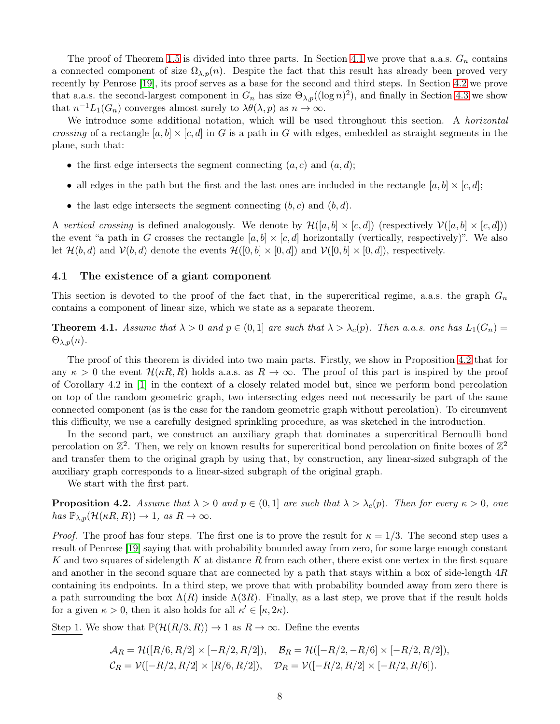The proof of Theorem [1.5](#page-3-0) is divided into three parts. In Section [4.1](#page-7-0) we prove that a.a.s.  $G_n$  contains a connected component of size  $\Omega_{\lambda,p}(n)$ . Despite the fact that this result has already been proved very recently by Penrose [\[19\]](#page-20-1), its proof serves as a base for the second and third steps. In Section [4.2](#page-11-0) we prove that a.a.s. the second-largest component in  $G_n$  has size  $\Theta_{\lambda,p}((\log n)^2)$ , and finally in Section [4.3](#page-17-1) we show that  $n^{-1}L_1(G_n)$  converges almost surely to  $\lambda\theta(\lambda, p)$  as  $n \to \infty$ .

We introduce some additional notation, which will be used throughout this section. A *horizontal crossing* of a rectangle  $[a, b] \times [c, d]$  in G is a path in G with edges, embedded as straight segments in the plane, such that:

- the first edge intersects the segment connecting  $(a, c)$  and  $(a, d)$ ;
- all edges in the path but the first and the last ones are included in the rectangle  $[a, b] \times [c, d]$ ;
- the last edge intersects the segment connecting  $(b, c)$  and  $(b, d)$ .

A *vertical crossing* is defined analogously. We denote by  $\mathcal{H}([a, b] \times [c, d])$  (respectively  $\mathcal{V}([a, b] \times [c, d]))$ the event "a path in G crosses the rectangle  $[a, b] \times [c, d]$  horizontally (vertically, respectively)". We also let  $\mathcal{H}(b, d)$  and  $\mathcal{V}(b, d)$  denote the events  $\mathcal{H}([0, b] \times [0, d])$  and  $\mathcal{V}([0, b] \times [0, d])$ , respectively.

## <span id="page-7-0"></span>4.1 The existence of a giant component

This section is devoted to the proof of the fact that, in the supercritical regime, a.a.s. the graph  $G_n$ contains a component of linear size, which we state as a separate theorem.

<span id="page-7-2"></span>**Theorem 4.1.** Assume that  $\lambda > 0$  and  $p \in (0,1]$  are such that  $\lambda > \lambda_c(p)$ . Then a.a.s. one has  $L_1(G_n)$  $\Theta_{\lambda,p}(n)$ .

The proof of this theorem is divided into two main parts. Firstly, we show in Proposition [4.2](#page-7-1) that for any  $\kappa > 0$  the event  $\mathcal{H}(\kappa R, R)$  holds a.a.s. as  $R \to \infty$ . The proof of this part is inspired by the proof of Corollary 4.2 in [\[1\]](#page-19-11) in the context of a closely related model but, since we perform bond percolation on top of the random geometric graph, two intersecting edges need not necessarily be part of the same connected component (as is the case for the random geometric graph without percolation). To circumvent this difficulty, we use a carefully designed sprinkling procedure, as was sketched in the introduction.

In the second part, we construct an auxiliary graph that dominates a supercritical Bernoulli bond percolation on  $\mathbb{Z}^2$ . Then, we rely on known results for supercritical bond percolation on finite boxes of  $\mathbb{Z}^2$ and transfer them to the original graph by using that, by construction, any linear-sized subgraph of the auxiliary graph corresponds to a linear-sized subgraph of the original graph.

We start with the first part.

<span id="page-7-1"></span>**Proposition 4.2.** *Assume that*  $\lambda > 0$  *and*  $p \in (0,1]$  *are such that*  $\lambda > \lambda_c(p)$ *. Then for every*  $\kappa > 0$ *, one*  $has \mathbb{P}_{\lambda,p}(\mathcal{H}(\kappa R,R)) \to 1, \text{ as } R \to \infty.$ 

*Proof.* The proof has four steps. The first one is to prove the result for  $\kappa = 1/3$ . The second step uses a result of Penrose [\[19\]](#page-20-1) saying that with probability bounded away from zero, for some large enough constant K and two squares of sidelength K at distance R from each other, there exist one vertex in the first square and another in the second square that are connected by a path that stays within a box of side-length 4R containing its endpoints. In a third step, we prove that with probability bounded away from zero there is a path surrounding the box  $\Lambda(R)$  inside  $\Lambda(3R)$ . Finally, as a last step, we prove that if the result holds for a given  $\kappa > 0$ , then it also holds for all  $\kappa' \in [\kappa, 2\kappa)$ .

Step 1. We show that  $\mathbb{P}(\mathcal{H}(R/3,R)) \to 1$  as  $R \to \infty$ . Define the events

$$
\mathcal{A}_R = \mathcal{H}([R/6, R/2] \times [-R/2, R/2]), \quad \mathcal{B}_R = \mathcal{H}([-R/2, -R/6] \times [-R/2, R/2]),
$$
  

$$
\mathcal{C}_R = \mathcal{V}([-R/2, R/2] \times [R/6, R/2]), \quad \mathcal{D}_R = \mathcal{V}([-R/2, R/2] \times [-R/2, R/6]).
$$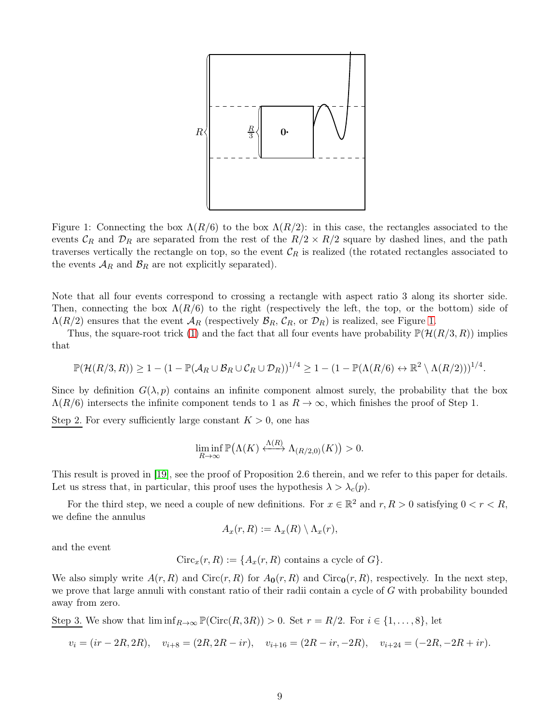<span id="page-8-0"></span>

Figure 1: Connecting the box  $\Lambda(R/6)$  to the box  $\Lambda(R/2)$ : in this case, the rectangles associated to the events  $\mathcal{C}_R$  and  $\mathcal{D}_R$  are separated from the rest of the  $R/2 \times R/2$  square by dashed lines, and the path traverses vertically the rectangle on top, so the event  $\mathcal{C}_R$  is realized (the rotated rectangles associated to the events  $A_R$  and  $B_R$  are not explicitly separated).

Note that all four events correspond to crossing a rectangle with aspect ratio 3 along its shorter side. Then, connecting the box  $\Lambda(R/6)$  to the right (respectively the left, the top, or the bottom) side of  $\Lambda(R/2)$  ensures that the event  $\mathcal{A}_R$  (respectively  $\mathcal{B}_R$ ,  $\mathcal{C}_R$ , or  $\mathcal{D}_R$ ) is realized, see Figure [1.](#page-8-0)

Thus, the square-root trick [\(1\)](#page-5-1) and the fact that all four events have probability  $\mathbb{P}(\mathcal{H}(R/3, R))$  implies that

$$
\mathbb{P}(\mathcal{H}(R/3,R)) \geq 1 - (1 - \mathbb{P}(\mathcal{A}_R \cup \mathcal{B}_R \cup \mathcal{C}_R \cup \mathcal{D}_R))^{1/4} \geq 1 - (1 - \mathbb{P}(\Lambda(R/6) \leftrightarrow \mathbb{R}^2 \setminus \Lambda(R/2)))^{1/4}.
$$

Since by definition  $G(\lambda, p)$  contains an infinite component almost surely, the probability that the box  $\Lambda(R/6)$  intersects the infinite component tends to 1 as  $R \to \infty$ , which finishes the proof of Step 1.

Step 2. For every sufficiently large constant  $K > 0$ , one has

$$
\liminf_{R \to \infty} \mathbb{P}(\Lambda(K) \xleftarrow{\Lambda(R)} \Lambda_{(R/2,0)}(K)) > 0.
$$

This result is proved in [\[19\]](#page-20-1), see the proof of Proposition 2.6 therein, and we refer to this paper for details. Let us stress that, in particular, this proof uses the hypothesis  $\lambda > \lambda_c(p)$ .

For the third step, we need a couple of new definitions. For  $x \in \mathbb{R}^2$  and  $r, R > 0$  satisfying  $0 < r < R$ , we define the annulus

$$
A_x(r,R) := \Lambda_x(R) \setminus \Lambda_x(r),
$$

and the event

$$
Circ_x(r, R) := \{A_x(r, R) \text{ contains a cycle of } G\}.
$$

We also simply write  $A(r, R)$  and  $Circ(r, R)$  for  $A_0(r, R)$  and  $Circ_0(r, R)$ , respectively. In the next step, we prove that large annuli with constant ratio of their radii contain a cycle of G with probability bounded away from zero.

Step 3. We show that  $\liminf_{R\to\infty} \mathbb{P}(\text{Circ}(R,3R)) > 0$ . Set  $r = R/2$ . For  $i \in \{1,\ldots,8\}$ , let

$$
v_i = (ir - 2R, 2R), \quad v_{i+8} = (2R, 2R - ir), \quad v_{i+16} = (2R - ir, -2R), \quad v_{i+24} = (-2R, -2R + ir).
$$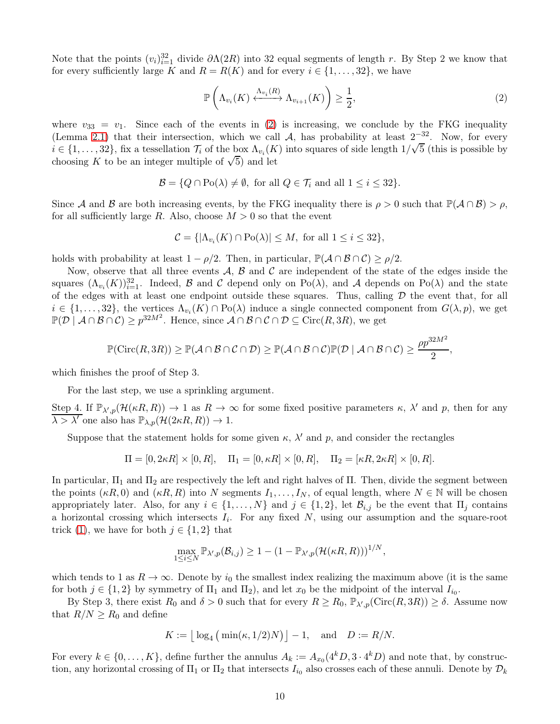Note that the points  $(v_i)_{i=1}^{32}$  divide  $\partial \Lambda(2R)$  into 32 equal segments of length r. By Step 2 we know that for every sufficiently large K and  $R = R(K)$  and for every  $i \in \{1, \ldots, 32\}$ , we have

<span id="page-9-0"></span>
$$
\mathbb{P}\left(\Lambda_{v_i}(K) \xleftarrow{\Lambda_{v_i}(R)} \Lambda_{v_{i+1}}(K)\right) \ge \frac{1}{2},\tag{2}
$$

where  $v_{33} = v_1$ . Since each of the events in [\(2\)](#page-9-0) is increasing, we conclude by the FKG inequality (Lemma [2.1\)](#page-5-0) that their intersection, which we call A, has probability at least  $2^{-32}$ . Now, for every  $i \in \{1, \ldots, 32\}$ , fix a tessellation  $\mathcal{T}_i$  of the box  $\Lambda_{v_i}(K)$  into squares of side length  $1/\sqrt{5}$  (this is possible by choosing K to be an integer multiple of  $\sqrt{5}$ ) and let

$$
\mathcal{B} = \{ Q \cap \text{Po}(\lambda) \neq \emptyset, \text{ for all } Q \in \mathcal{T}_i \text{ and all } 1 \leq i \leq 32 \}.
$$

Since A and B are both increasing events, by the FKG inequality there is  $\rho > 0$  such that  $\mathbb{P}(\mathcal{A} \cap \mathcal{B}) > \rho$ , for all sufficiently large R. Also, choose  $M > 0$  so that the event

$$
C = \{ |\Lambda_{v_i}(K) \cap \text{Po}(\lambda)| \le M, \text{ for all } 1 \le i \le 32 \},\
$$

holds with probability at least  $1 - \rho/2$ . Then, in particular,  $\mathbb{P}(\mathcal{A} \cap \mathcal{B} \cap \mathcal{C}) \ge \rho/2$ .

Now, observe that all three events  $\mathcal{A}, \mathcal{B}$  and  $\mathcal{C}$  are independent of the state of the edges inside the squares  $(\Lambda_{v_i}(K))_{i=1}^{32}$ . Indeed, B and C depend only on Po( $\lambda$ ), and A depends on Po( $\lambda$ ) and the state of the edges with at least one endpoint outside these squares. Thus, calling  $D$  the event that, for all  $i \in \{1,\ldots,32\}$ , the vertices  $\Lambda_{v_i}(K) \cap \text{Po}(\lambda)$  induce a single connected component from  $G(\lambda, p)$ , we get  $\mathbb{P}(\mathcal{D} \mid \mathcal{A} \cap \mathcal{B} \cap \mathcal{C}) \geq p^{32M^2}$ . Hence, since  $\mathcal{A} \cap \mathcal{B} \cap \mathcal{C} \cap \mathcal{D} \subseteq \text{Circ}(R, 3R)$ , we get

$$
\mathbb{P}(\mathrm{Circ}(R,3R)) \ge \mathbb{P}(\mathcal{A} \cap \mathcal{B} \cap \mathcal{C} \cap \mathcal{D}) \ge \mathbb{P}(\mathcal{A} \cap \mathcal{B} \cap \mathcal{C})\mathbb{P}(\mathcal{D} \mid \mathcal{A} \cap \mathcal{B} \cap \mathcal{C}) \ge \frac{\rho p^{32M^2}}{2},
$$

which finishes the proof of Step 3.

For the last step, we use a sprinkling argument.

Step 4. If  $\mathbb{P}_{\lambda',p}(\mathcal{H}(\kappa R,R)) \to 1$  as  $R \to \infty$  for some fixed positive parameters  $\kappa, \lambda'$  and p, then for any  $\lambda > \lambda'$  one also has  $\mathbb{P}_{\lambda,p}(\mathcal{H}(2\kappa R,R)) \to 1$ .

Suppose that the statement holds for some given  $\kappa$ ,  $\lambda'$  and  $p$ , and consider the rectangles

$$
\Pi = [0, 2\kappa R] \times [0, R], \quad \Pi_1 = [0, \kappa R] \times [0, R], \quad \Pi_2 = [\kappa R, 2\kappa R] \times [0, R].
$$

In particular,  $\Pi_1$  and  $\Pi_2$  are respectively the left and right halves of  $\Pi$ . Then, divide the segment between the points  $(\kappa R, 0)$  and  $(\kappa R, R)$  into N segments  $I_1, \ldots, I_N$ , of equal length, where  $N \in \mathbb{N}$  will be chosen appropriately later. Also, for any  $i \in \{1, ..., N\}$  and  $j \in \{1, 2\}$ , let  $\mathcal{B}_{i,j}$  be the event that  $\Pi_j$  contains a horizontal crossing which intersects  $I_i$ . For any fixed  $N$ , using our assumption and the square-root trick [\(1\)](#page-5-1), we have for both  $j \in \{1,2\}$  that

$$
\max_{1 \leq i \leq N} \mathbb{P}_{\lambda',p}(\mathcal{B}_{i,j}) \geq 1 - (1 - \mathbb{P}_{\lambda',p}(\mathcal{H}(\kappa R, R)))^{1/N},
$$

which tends to 1 as  $R \to \infty$ . Denote by  $i_0$  the smallest index realizing the maximum above (it is the same for both  $j \in \{1,2\}$  by symmetry of  $\Pi_1$  and  $\Pi_2$ ), and let  $x_0$  be the midpoint of the interval  $I_{i_0}$ .

By Step 3, there exist  $R_0$  and  $\delta > 0$  such that for every  $R \ge R_0$ ,  $\mathbb{P}_{\lambda',p}(\text{Circ}(R,3R)) \ge \delta$ . Assume now that  $R/N \ge R_0$  and define

$$
K := \lfloor \log_4 \left( \min(\kappa, 1/2) N \right) \rfloor - 1, \quad \text{and} \quad D := R/N.
$$

For every  $k \in \{0, ..., K\}$ , define further the annulus  $A_k := A_{x_0}(4^k D, 3 \cdot 4^k D)$  and note that, by construction, any horizontal crossing of  $\Pi_1$  or  $\Pi_2$  that intersects  $I_{i_0}$  also crosses each of these annuli. Denote by  $\mathcal{D}_k$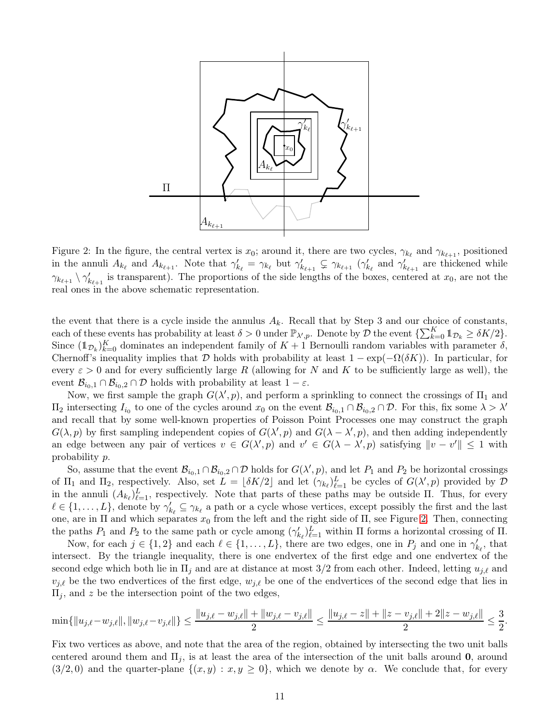<span id="page-10-0"></span>

Figure 2: In the figure, the central vertex is  $x_0$ ; around it, there are two cycles,  $\gamma_{k_\ell}$  and  $\gamma_{k_{\ell+1}}$ , positioned in the annuli  $A_{k_\ell}$  and  $A_{k_{\ell+1}}$ . Note that  $\gamma'_{k_\ell} = \gamma_{k_\ell}$  but  $\gamma'_{k_{\ell+1}} \subsetneq \gamma_{k_{\ell+1}}$  ( $\gamma'_{k_\ell}$  and  $\gamma'_{k_{\ell+1}}$  are thickened while  $\gamma_{k_{\ell+1}} \setminus \gamma'_{k_{\ell+1}}$  is transparent). The proportions of the side lengths of the boxes, centered at  $x_0$ , are not the real ones in the above schematic representation.

the event that there is a cycle inside the annulus  $A_k$ . Recall that by Step 3 and our choice of constants, each of these events has probability at least  $\delta > 0$  under  $\mathbb{P}_{\lambda',p}$ . Denote by  $\mathcal{D}$  the event  $\{\sum_{k=0}^{K} \mathbb{1}_{\mathcal{D}_k} \geq \delta K/2\}$ . Since  $(\mathbb{1}_{\mathcal{D}_k})_{k=0}^K$  dominates an independent family of  $K+1$  Bernoulli random variables with parameter  $\delta$ , Chernoff's inequality implies that D holds with probability at least  $1 - \exp(-\Omega(\delta K))$ . In particular, for every  $\varepsilon > 0$  and for every sufficiently large R (allowing for N and K to be sufficiently large as well), the event  $\mathcal{B}_{i_0,1} \cap \mathcal{B}_{i_0,2} \cap \mathcal{D}$  holds with probability at least  $1 - \varepsilon$ .

Now, we first sample the graph  $G(\lambda', p)$ , and perform a sprinkling to connect the crossings of  $\Pi_1$  and  $\Pi_2$  intersecting  $I_{i_0}$  to one of the cycles around  $x_0$  on the event  $\mathcal{B}_{i_0,1} \cap \mathcal{B}_{i_0,2} \cap \mathcal{D}$ . For this, fix some  $\lambda > \lambda'$ and recall that by some well-known properties of Poisson Point Processes one may construct the graph  $G(\lambda, p)$  by first sampling independent copies of  $G(\lambda', p)$  and  $G(\lambda - \lambda', p)$ , and then adding independently an edge between any pair of vertices  $v \in G(\lambda', p)$  and  $v' \in G(\lambda - \lambda', p)$  satisfying  $||v - v'|| \le 1$  with probability p.

So, assume that the event  $\mathcal{B}_{i_0,1} \cap \mathcal{B}_{i_0,2} \cap \mathcal{D}$  holds for  $G(\lambda', p)$ , and let  $P_1$  and  $P_2$  be horizontal crossings of  $\Pi_1$  and  $\Pi_2$ , respectively. Also, set  $L = \lfloor \delta K/2 \rfloor$  and let  $(\gamma_{k_\ell})^L_{\ell=1}$  be cycles of  $G(\lambda', p)$  provided by  $\mathcal D$ in the annuli  $(A_{k_\ell})_{\ell=1}^L$ , respectively. Note that parts of these paths may be outside  $\Pi$ . Thus, for every  $\ell \in \{1,\ldots,L\}$ , denote by  $\gamma'_{k_{\ell}} \subseteq \gamma_{k_{\ell}}$  a path or a cycle whose vertices, except possibly the first and the last one, are in  $\Pi$  and which separates  $x_0$  from the left and the right side of  $\Pi$ , see Figure [2.](#page-10-0) Then, connecting the paths  $P_1$  and  $P_2$  to the same path or cycle among  $(\gamma'_{k_\ell})^L_{\ell=1}$  within  $\Pi$  forms a horizontal crossing of  $\Pi$ .

Now, for each  $j \in \{1,2\}$  and each  $\ell \in \{1,\ldots,L\}$ , there are two edges, one in  $P_j$  and one in  $\gamma'_{k_\ell}$ , that intersect. By the triangle inequality, there is one endvertex of the first edge and one endvertex of the second edge which both lie in  $\Pi_i$  and are at distance at most 3/2 from each other. Indeed, letting  $u_{i,\ell}$  and  $v_{j,\ell}$  be the two endvertices of the first edge,  $w_{j,\ell}$  be one of the endvertices of the second edge that lies in  $\Pi_i$ , and z be the intersection point of the two edges,

$$
\min\{\|u_{j,\ell}-w_{j,\ell}\|, \|w_{j,\ell}-v_{j,\ell}\|\} \le \frac{\|u_{j,\ell}-w_{j,\ell}\|+\|w_{j,\ell}-v_{j,\ell}\|}{2} \le \frac{\|u_{j,\ell}-z\|+\|z-v_{j,\ell}\|+2\|z-w_{j,\ell}\|}{2} \le \frac{3}{2}.
$$

Fix two vertices as above, and note that the area of the region, obtained by intersecting the two unit balls centered around them and  $\Pi_i$ , is at least the area of the intersection of the unit balls around **0**, around  $(3/2, 0)$  and the quarter-plane  $\{(x, y) : x, y \ge 0\}$ , which we denote by  $\alpha$ . We conclude that, for every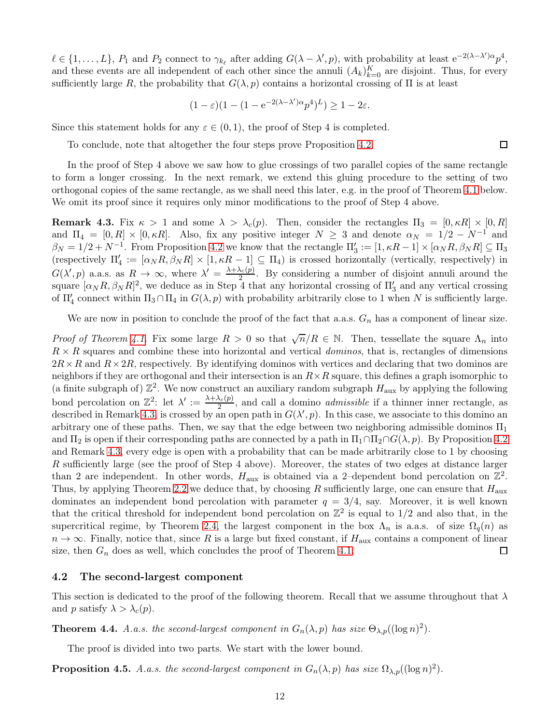$\ell \in \{1,\ldots,L\}, P_1 \text{ and } P_2 \text{ connect to } \gamma_{k_{\ell}} \text{ after adding } G(\lambda-\lambda',p), \text{ with probability at least } e^{-2(\lambda-\lambda')\alpha}p^4,$ and these events are all independent of each other since the annuli  $(A_k)_{k=0}^K$  are disjoint. Thus, for every sufficiently large R, the probability that  $G(\lambda, p)$  contains a horizontal crossing of  $\Pi$  is at least

$$
(1 - \varepsilon)(1 - (1 - e^{-2(\lambda - \lambda')\alpha}p^4)^L) \ge 1 - 2\varepsilon.
$$

Since this statement holds for any  $\varepsilon \in (0,1)$ , the proof of Step 4 is completed.

To conclude, note that altogether the four steps prove Proposition [4.2.](#page-7-1)

In the proof of Step 4 above we saw how to glue crossings of two parallel copies of the same rectangle to form a longer crossing. In the next remark, we extend this gluing procedure to the setting of two orthogonal copies of the same rectangle, as we shall need this later, e.g. in the proof of Theorem [4.1](#page-7-2) below. We omit its proof since it requires only minor modifications to the proof of Step 4 above.

<span id="page-11-1"></span>**Remark 4.3.** Fix  $\kappa > 1$  and some  $\lambda > \lambda_c(p)$ . Then, consider the rectangles  $\Pi_3 = [0, \kappa R] \times [0, R]$ and  $\Pi_4 = [0, R] \times [0, \kappa R]$ . Also, fix any positive integer  $N \geq 3$  and denote  $\alpha_N = 1/2 - N^{-1}$  and  $\beta_N = 1/2 + N^{-1}$ . From Proposition [4.2](#page-7-1) we know that the rectangle  $\Pi_3' := [1, \kappa R - 1] \times [\alpha_N R, \beta_N R] \subseteq \Pi_3$ (respectively  $\Pi'_4 := [\alpha_N R, \beta_N R] \times [1, \kappa R - 1] \subseteq \Pi_4$ ) is crossed horizontally (vertically, respectively) in  $G(\lambda', p)$  a.a.s. as  $R \to \infty$ , where  $\lambda' = \frac{\lambda + \lambda_c(p)}{2}$  $\frac{\lambda_c(p)}{2}$ . By considering a number of disjoint annuli around the square  $[\alpha_N R, \beta_N R]^2$ , we deduce as in Step 4 that any horizontal crossing of  $\Pi_3'$  and any vertical crossing of  $\Pi'_4$  connect within  $\Pi_3 \cap \Pi_4$  in  $G(\lambda, p)$  with probability arbitrarily close to 1 when N is sufficiently large.

We are now in position to conclude the proof of the fact that a.a.s.  $G_n$  has a component of linear size.

*Proof of Theorem [4.1.](#page-7-2)* Fix some large  $R > 0$  so that  $\sqrt{n}/R \in \mathbb{N}$ . Then, tessellate the square  $\Lambda_n$  into  $R \times R$  squares and combine these into horizontal and vertical *dominos*, that is, rectangles of dimensions  $2R\times R$  and  $R\times 2R$ , respectively. By identifying dominos with vertices and declaring that two dominos are neighbors if they are orthogonal and their intersection is an  $R \times R$  square, this defines a graph isomorphic to (a finite subgraph of)  $\mathbb{Z}^2$ . We now construct an auxiliary random subgraph  $H_{\text{aux}}$  by applying the following bond percolation on  $\mathbb{Z}^2$ : let  $\lambda' := \frac{\lambda + \lambda_c(p)}{2}$  $\frac{a_{c}(p)}{2}$ , and call a domino *admissible* if a thinner inner rectangle, as described in Remark [4.3,](#page-11-1) is crossed by an open path in  $G(\lambda', p)$ . In this case, we associate to this domino an arbitrary one of these paths. Then, we say that the edge between two neighboring admissible dominos  $\Pi_1$ and  $\Pi_2$  is open if their corresponding paths are connected by a path in  $\Pi_1 \cap \Pi_2 \cap G(\lambda, p)$ . By Proposition [4.2](#page-7-1) and Remark [4.3,](#page-11-1) every edge is open with a probability that can be made arbitrarily close to 1 by choosing R sufficiently large (see the proof of Step 4 above). Moreover, the states of two edges at distance larger than 2 are independent. In other words,  $H_{\text{aux}}$  is obtained via a 2-dependent bond percolation on  $\mathbb{Z}^2$ . Thus, by applying Theorem [2.2](#page-5-2) we deduce that, by choosing R sufficiently large, one can ensure that  $H_{\text{aux}}$ dominates an independent bond percolation with parameter  $q = 3/4$ , say. Moreover, it is well known that the critical threshold for independent bond percolation on  $\mathbb{Z}^2$  is equal to 1/2 and also that, in the supercritical regime, by Theorem [2.4,](#page-5-3) the largest component in the box  $\Lambda_n$  is a.a.s. of size  $\Omega_q(n)$  as  $n \to \infty$ . Finally, notice that, since R is a large but fixed constant, if  $H_{\text{aux}}$  contains a component of linear size, then  $G_n$  does as well, which concludes the proof of Theorem 4.1. size, then  $G_n$  does as well, which concludes the proof of Theorem [4.1.](#page-7-2)

### <span id="page-11-0"></span>4.2 The second-largest component

This section is dedicated to the proof of the following theorem. Recall that we assume throughout that  $\lambda$ and p satisfy  $\lambda > \lambda_c(p)$ .

<span id="page-11-2"></span>**Theorem 4.4.** A.a.s. the second-largest component in  $G_n(\lambda, p)$  has size  $\Theta_{\lambda, p}((\log n)^2)$ .

The proof is divided into two parts. We start with the lower bound.

<span id="page-11-3"></span>**Proposition 4.5.** *A.a.s. the second-largest component in*  $G_n(\lambda, p)$  *has size*  $\Omega_{\lambda, p}((\log n)^2)$ *.* 

 $\Box$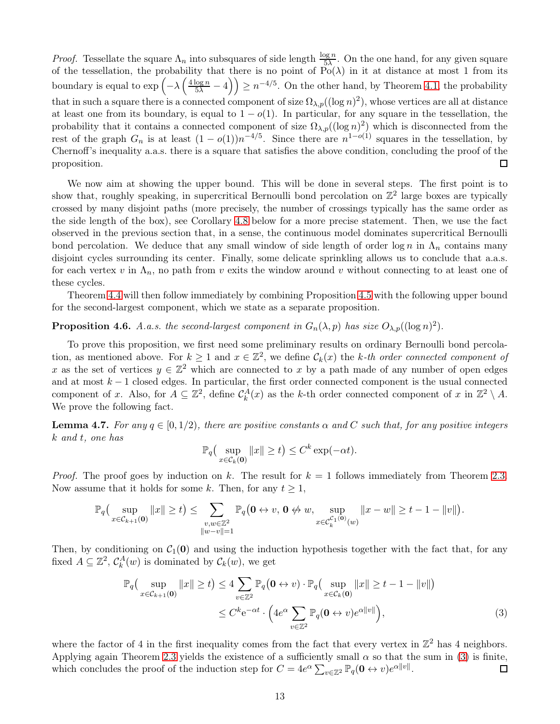*Proof.* Tessellate the square  $\Lambda_n$  into subsquares of side length  $\frac{\log n}{5\lambda}$ . On the one hand, for any given square of the tessellation, the probability that there is no point of  $Po(\lambda)$  in it at distance at most 1 from its boundary is equal to  $\exp\left(-\lambda\left(\frac{4\log n}{5\lambda}-4\right)\right) \geq n^{-4/5}$ . On the other hand, by Theorem [4.1,](#page-7-2) the probability that in such a square there is a connected component of size  $\Omega_{\lambda,p}((\log n)^2)$ , whose vertices are all at distance at least one from its boundary, is equal to  $1 - o(1)$ . In particular, for any square in the tessellation, the probability that it contains a connected component of size  $\Omega_{\lambda,p}((\log n)^2)$  which is disconnected from the rest of the graph  $G_n$  is at least  $(1 - o(1))n^{-4/5}$ . Since there are  $n^{1-o(1)}$  squares in the tessellation, by Chernoff's inequality a.a.s. there is a square that satisfies the above condition, concluding the proof of the proposition.  $\Box$ 

We now aim at showing the upper bound. This will be done in several steps. The first point is to show that, roughly speaking, in supercritical Bernoulli bond percolation on  $\mathbb{Z}^2$  large boxes are typically crossed by many disjoint paths (more precisely, the number of crossings typically has the same order as the side length of the box), see Corollary [4.8](#page-13-0) below for a more precise statement. Then, we use the fact observed in the previous section that, in a sense, the continuous model dominates supercritical Bernoulli bond percolation. We deduce that any small window of side length of order  $\log n$  in  $\Lambda_n$  contains many disjoint cycles surrounding its center. Finally, some delicate sprinkling allows us to conclude that a.a.s. for each vertex v in  $\Lambda_n$ , no path from v exits the window around v without connecting to at least one of these cycles.

Theorem [4.4](#page-11-2) will then follow immediately by combining Proposition [4.5](#page-11-3) with the following upper bound for the second-largest component, which we state as a separate proposition.

# <span id="page-12-2"></span>**Proposition 4.6.** *A.a.s. the second-largest component in*  $G_n(\lambda, p)$  *has size*  $O_{\lambda, p}((\log n)^2)$ *.*

To prove this proposition, we first need some preliminary results on ordinary Bernoulli bond percolation, as mentioned above. For  $k \geq 1$  and  $x \in \mathbb{Z}^2$ , we define  $\mathcal{C}_k(x)$  the k-th order connected component of x as the set of vertices  $y \in \mathbb{Z}^2$  which are connected to x by a path made of any number of open edges and at most  $k-1$  closed edges. In particular, the first order connected component is the usual connected component of x. Also, for  $A \subseteq \mathbb{Z}^2$ , define  $\mathcal{C}_k^A(x)$  as the k-th order connected component of x in  $\mathbb{Z}^2 \setminus A$ . We prove the following fact.

<span id="page-12-1"></span>**Lemma 4.7.** *For any*  $q \in [0, 1/2)$ *, there are positive constants*  $\alpha$  *and*  $C$  *such that, for any positive integers* k *and* t*, one has*

<span id="page-12-0"></span>
$$
\mathbb{P}_q\big(\sup_{x\in\mathcal{C}_k(\mathbf{0})}||x||\geq t\big)\leq C^k\exp(-\alpha t).
$$

*Proof.* The proof goes by induction on k. The result for  $k = 1$  follows immediately from Theorem [2.3.](#page-5-4) Now assume that it holds for some k. Then, for any  $t \geq 1$ ,

$$
\mathbb{P}_q\big(\sup_{x \in \mathcal{C}_{k+1}(\mathbf{0})} \|x\| \geq t\big) \leq \sum_{\substack{v,w \in \mathbb{Z}^2 \\ \|w-v\|=1}} \mathbb{P}_q\big(\mathbf{0} \leftrightarrow v, \mathbf{0} \not\leftrightarrow w, \sup_{x \in \mathcal{C}_k^{\mathcal{C}_1(\mathbf{0})}(w)} \|x-w\| \geq t-1-\|v\|\big).
$$

Then, by conditioning on  $C_1(0)$  and using the induction hypothesis together with the fact that, for any fixed  $A \subseteq \mathbb{Z}^2$ ,  $C_k^A(w)$  is dominated by  $\mathcal{C}_k(w)$ , we get

$$
\mathbb{P}_q\left(\sup_{x \in \mathcal{C}_{k+1}(\mathbf{0})} \|x\| \ge t\right) \le 4 \sum_{v \in \mathbb{Z}^2} \mathbb{P}_q\left(\mathbf{0} \leftrightarrow v\right) \cdot \mathbb{P}_q\left(\sup_{x \in \mathcal{C}_k(\mathbf{0})} \|x\| \ge t-1 - \|v\|\right)
$$
  

$$
\le C^k e^{-\alpha t} \cdot \left(4e^{\alpha} \sum_{v \in \mathbb{Z}^2} \mathbb{P}_q(\mathbf{0} \leftrightarrow v)e^{\alpha \|v\|}\right),\tag{3}
$$

where the factor of 4 in the first inequality comes from the fact that every vertex in  $\mathbb{Z}^2$  has 4 neighbors. Applying again Theorem [2.3](#page-5-4) yields the existence of a sufficiently small  $\alpha$  so that the sum in [\(3\)](#page-12-0) is finite, which concludes the proof of the induction step for  $C = 4e^{\alpha} \sum_{v \in \mathbb{Z}^2} \mathbb{P}_q(\mathbf{0} \leftrightarrow v) e^{\alpha ||v||}$ .  $\Box$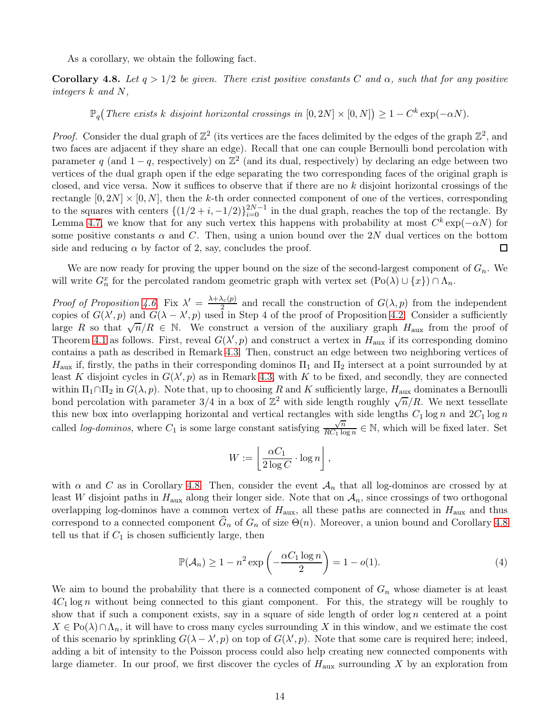As a corollary, we obtain the following fact.

<span id="page-13-0"></span>Corollary 4.8. Let  $q > 1/2$  be given. There exist positive constants C and  $\alpha$ , such that for any positive *integers* k *and* N*,*

 $\mathbb{P}_q(T$ here exists k disjoint horizontal crossings in  $[0, 2N] \times [0, N]$ )  $\geq 1 - C^k \exp(-\alpha N)$ .

*Proof.* Consider the dual graph of  $\mathbb{Z}^2$  (its vertices are the faces delimited by the edges of the graph  $\mathbb{Z}^2$ , and two faces are adjacent if they share an edge). Recall that one can couple Bernoulli bond percolation with parameter q (and  $1 - q$ , respectively) on  $\mathbb{Z}^2$  (and its dual, respectively) by declaring an edge between two vertices of the dual graph open if the edge separating the two corresponding faces of the original graph is closed, and vice versa. Now it suffices to observe that if there are no k disjoint horizontal crossings of the rectangle  $[0, 2N] \times [0, N]$ , then the k-th order connected component of one of the vertices, corresponding to the squares with centers  $\{(1/2+i, -1/2)\}_{i=0}^{2N-1}$  in the dual graph, reaches the top of the rectangle. By Lemma [4.7,](#page-12-1) we know that for any such vertex this happens with probability at most  $C^k \exp(-\alpha N)$  for some positive constants  $\alpha$  and C. Then, using a union bound over the 2N dual vertices on the bottom side and reducing  $\alpha$  by factor of 2, say, concludes the proof.  $\Box$ 

We are now ready for proving the upper bound on the size of the second-largest component of  $G_n$ . We will write  $G_n^x$  for the percolated random geometric graph with vertex set  $(Po(\lambda) \cup \{x\}) \cap \Lambda_n$ .

*Proof of Proposition* [4.6.](#page-12-2) Fix  $\lambda' = \frac{\lambda + \lambda_c(p)}{2}$  $\frac{C_{c}(p)}{2}$  and recall the construction of  $G(\lambda, p)$  from the independent copies of  $G(\lambda', p)$  and  $G(\lambda - \lambda', p)$  used in Step 4 of the proof of Proposition [4.2.](#page-7-1) Consider a sufficiently large R so that  $\sqrt{n}/R \in \mathbb{N}$ . We construct a version of the auxiliary graph  $H_{\text{aux}}$  from the proof of Theorem [4.1](#page-7-2) as follows. First, reveal  $G(\lambda', p)$  and construct a vertex in  $H_{\text{aux}}$  if its corresponding domino contains a path as described in Remark [4.3.](#page-11-1) Then, construct an edge between two neighboring vertices of  $H_{\text{aux}}$  if, firstly, the paths in their corresponding dominos  $\Pi_1$  and  $\Pi_2$  intersect at a point surrounded by at least K disjoint cycles in  $G(\lambda', p)$  as in Remark [4.3,](#page-11-1) with K to be fixed, and secondly, they are connected within  $\Pi_1 \cap \Pi_2$  in  $G(\lambda, p)$ . Note that, up to choosing R and K sufficiently large, H<sub>aux</sub> dominates a Bernoulli bond percolation with parameter  $3/4$  in a box of  $\mathbb{Z}^2$  with side length roughly  $\sqrt{n}/R$ . We next tessellate this new box into overlapping horizontal and vertical rectangles with side lengths  $C_1 \log n$  and  $2C_1 \log n$ called *log-dominos*, where  $C_1$  is some large constant satisfying  $\frac{\sqrt{n}}{BC_1 \log n}$  $\frac{\sqrt{n}}{RC_1 \log n} \in \mathbb{N}$ , which will be fixed later. Set

$$
W := \left\lfloor \frac{\alpha C_1}{2 \log C} \cdot \log n \right\rfloor,
$$

with  $\alpha$  and C as in Corollary [4.8.](#page-13-0) Then, consider the event  $\mathcal{A}_n$  that all log-dominos are crossed by at least W disjoint paths in  $H_{\text{aux}}$  along their longer side. Note that on  $A_n$ , since crossings of two orthogonal overlapping log-dominos have a common vertex of  $H_{\text{aux}}$ , all these paths are connected in  $H_{\text{aux}}$  and thus correspond to a connected component  $G_n$  of  $G_n$  of size  $\Theta(n)$ . Moreover, a union bound and Corollary [4.8](#page-13-0) tell us that if  $C_1$  is chosen sufficiently large, then

<span id="page-13-1"></span>
$$
\mathbb{P}(\mathcal{A}_n) \ge 1 - n^2 \exp\left(-\frac{\alpha C_1 \log n}{2}\right) = 1 - o(1). \tag{4}
$$

We aim to bound the probability that there is a connected component of  $G_n$  whose diameter is at least  $4C_1$  log n without being connected to this giant component. For this, the strategy will be roughly to show that if such a component exists, say in a square of side length of order  $\log n$  centered at a point  $X \in \mathrm{Po}(\lambda) \cap \Lambda_n$ , it will have to cross many cycles surrounding X in this window, and we estimate the cost of this scenario by sprinkling  $G(\lambda - \lambda', p)$  on top of  $G(\lambda', p)$ . Note that some care is required here; indeed, adding a bit of intensity to the Poisson process could also help creating new connected components with large diameter. In our proof, we first discover the cycles of  $H_{\text{aux}}$  surrounding X by an exploration from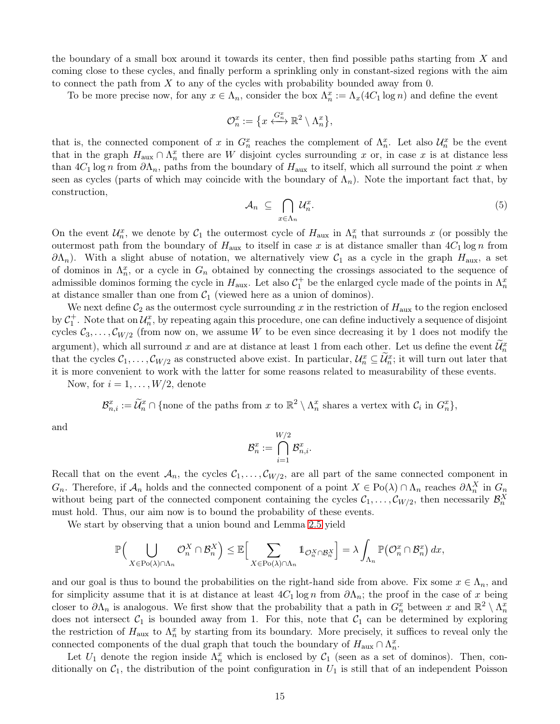the boundary of a small box around it towards its center, then find possible paths starting from  $X$  and coming close to these cycles, and finally perform a sprinkling only in constant-sized regions with the aim to connect the path from  $X$  to any of the cycles with probability bounded away from 0.

To be more precise now, for any  $x \in \Lambda_n$ , consider the box  $\Lambda_n^x := \Lambda_x(4C_1 \log n)$  and define the event

$$
\mathcal{O}_n^x := \big\{ x \stackrel{G_n^x}{\longleftrightarrow} \mathbb{R}^2 \setminus \Lambda_n^x \big\},\
$$

that is, the connected component of x in  $G_n^x$  reaches the complement of  $\Lambda_n^x$ . Let also  $\mathcal{U}_n^x$  be the event that in the graph  $H_{\text{aux}} \cap \Lambda_n^x$  there are W disjoint cycles surrounding x or, in case x is at distance less than  $4C_1 \log n$  from  $\partial \Lambda_n$ , paths from the boundary of  $H_{\text{aux}}$  to itself, which all surround the point x when seen as cycles (parts of which may coincide with the boundary of  $\Lambda_n$ ). Note the important fact that, by construction,

$$
\mathcal{A}_n \subseteq \bigcap_{x \in \Lambda_n} \mathcal{U}_n^x. \tag{5}
$$

On the event  $\mathcal{U}_n^x$ , we denote by  $\mathcal{C}_1$  the outermost cycle of  $H_{\text{aux}}$  in  $\Lambda_n^x$  that surrounds x (or possibly the outermost path from the boundary of  $H_{\text{aux}}$  to itself in case x is at distance smaller than  $4C_1 \log n$  from  $\partial \Lambda_n$ ). With a slight abuse of notation, we alternatively view  $\mathcal{C}_1$  as a cycle in the graph  $H_{\text{aux}}$ , a set of dominos in  $\Lambda_n^x$ , or a cycle in  $G_n$  obtained by connecting the crossings associated to the sequence of admissible dominos forming the cycle in  $H_{\text{aux}}$ . Let also  $C_1^+$  be the enlarged cycle made of the points in  $\Lambda_n^x$ at distance smaller than one from  $C_1$  (viewed here as a union of dominos).

We next define  $\mathcal{C}_2$  as the outermost cycle surrounding x in the restriction of  $H_{\text{aux}}$  to the region enclosed by  $C_1^+$ . Note that on  $\mathcal{U}_n^x$ , by repeating again this procedure, one can define inductively a sequence of disjoint cycles  $C_3, \ldots, C_{W/2}$  (from now on, we assume W to be even since decreasing it by 1 does not modify the argument), which all surround x and are at distance at least 1 from each other. Let us define the event  $\mathcal{U}_n^x$ that the cycles  $C_1, \ldots, C_{W/2}$  as constructed above exist. In particular,  $\mathcal{U}_n^x \subseteq \widetilde{\mathcal{U}}_n^x$ ; it will turn out later that it is more convenient to work with the latter for some reasons related to measurability of these events.

Now, for  $i = 1, \ldots, W/2$ , denote

$$
\mathcal{B}_{n,i}^x := \widetilde{\mathcal{U}}_n^x \cap \{\text{none of the paths from } x \text{ to } \mathbb{R}^2 \setminus \Lambda_n^x \text{ shares a vertex with } \mathcal{C}_i \text{ in } G_n^x\},\
$$

and

$$
\mathcal{B}_n^x:=\bigcap_{i=1}^{W/2}\mathcal{B}_{n,i}^x.
$$

Recall that on the event  $A_n$ , the cycles  $C_1, \ldots, C_{W/2}$ , are all part of the same connected component in  $G_n$ . Therefore, if  $\mathcal{A}_n$  holds and the connected component of a point  $X \in \text{Po}(\lambda) \cap \Lambda_n$  reaches  $\partial \Lambda_n^X$  in  $G_n$ without being part of the connected component containing the cycles  $C_1, \ldots, C_{W/2}$ , then necessarily  $\mathcal{B}_n^X$ must hold. Thus, our aim now is to bound the probability of these events.

We start by observing that a union bound and Lemma [2.5](#page-5-5) yield

$$
\mathbb{P}\Big(\bigcup_{X\in \text{Po}(\lambda)\cap \Lambda_n}\mathcal{O}_n^X\cap \mathcal{B}_n^X\Big)\leq \mathbb{E}\Big[\sum_{X\in \text{Po}(\lambda)\cap \Lambda_n}1_{\mathcal{O}_n^X\cap \mathcal{B}_n^X}\Big]=\lambda\int_{\Lambda_n}\mathbb{P}\big(\mathcal{O}_n^x\cap \mathcal{B}_n^x\big)\,dx,
$$

and our goal is thus to bound the probabilities on the right-hand side from above. Fix some  $x \in \Lambda_n$ , and for simplicity assume that it is at distance at least  $4C_1 \log n$  from  $\partial \Lambda_n$ ; the proof in the case of x being closer to  $\partial\Lambda_n$  is analogous. We first show that the probability that a path in  $G_n^x$  between x and  $\mathbb{R}^2 \setminus \Lambda_n^x$ does not intersect  $C_1$  is bounded away from 1. For this, note that  $C_1$  can be determined by exploring the restriction of  $H_{\text{aux}}$  to  $\Lambda_n^x$  by starting from its boundary. More precisely, it suffices to reveal only the connected components of the dual graph that touch the boundary of  $H_{\text{aux}} \cap \Lambda_n^x$ .

Let  $U_1$  denote the region inside  $\Lambda_n^x$  which is enclosed by  $\mathcal{C}_1$  (seen as a set of dominos). Then, conditionally on  $C_1$ , the distribution of the point configuration in  $U_1$  is still that of an independent Poisson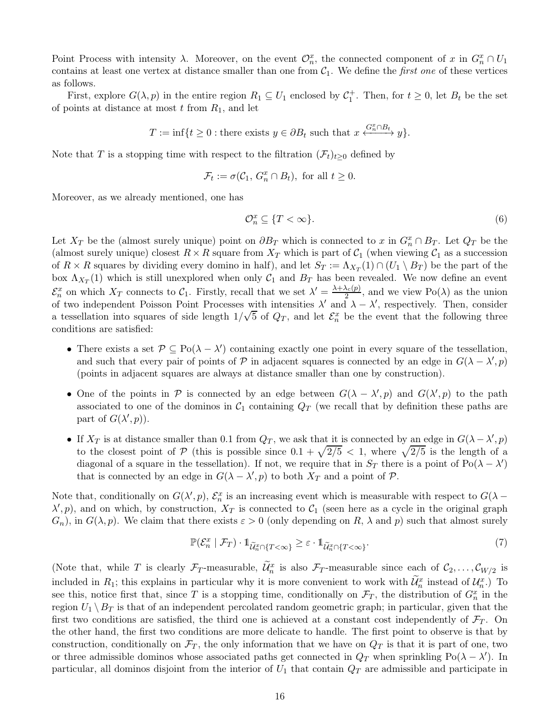Point Process with intensity  $\lambda$ . Moreover, on the event  $\mathcal{O}_n^x$ , the connected component of x in  $G_n^x \cap U_1$ contains at least one vertex at distance smaller than one from  $C_1$ . We define the *first one* of these vertices as follows.

First, explore  $G(\lambda, p)$  in the entire region  $R_1 \subseteq U_1$  enclosed by  $C_1^+$ . Then, for  $t \geq 0$ , let  $B_t$  be the set of points at distance at most  $t$  from  $R_1$ , and let

$$
T := \inf\{t \ge 0 : \text{there exists } y \in \partial B_t \text{ such that } x \xleftrightarrow{\,G_n^x \cap B_t \,}{\,y\}.
$$

Note that T is a stopping time with respect to the filtration  $(\mathcal{F}_t)_{t\geq0}$  defined by

$$
\mathcal{F}_t := \sigma(\mathcal{C}_1, G_n^x \cap B_t), \text{ for all } t \ge 0.
$$

Moreover, as we already mentioned, one has

<span id="page-15-1"></span>
$$
\mathcal{O}_n^x \subseteq \{T < \infty\}.\tag{6}
$$

Let  $X_T$  be the (almost surely unique) point on  $\partial B_T$  which is connected to x in  $G_n^x \cap B_T$ . Let  $Q_T$  be the (almost surely unique) closest  $R \times R$  square from  $X_T$  which is part of  $C_1$  (when viewing  $C_1$  as a succession of  $R \times R$  squares by dividing every domino in half), and let  $S_T := \Lambda_{X_T}(1) \cap (U_1 \setminus B_T)$  be the part of the box  $\Lambda_{X_T}(1)$  which is still unexplored when only  $C_1$  and  $B_T$  has been revealed. We now define an event  $\mathcal{E}_n^x$  on which  $X_T$  connects to  $\mathcal{C}_1$ . Firstly, recall that we set  $\lambda' = \frac{\lambda + \lambda_c(p)}{2}$  $\frac{\lambda_c(p)}{2}$ , and we view Po( $\lambda$ ) as the union of two independent Poisson Point Processes with intensities  $\lambda'$  and  $\lambda - \lambda'$ , respectively. Then, consider a tessellation into squares of side length  $1/\sqrt{5}$  of  $Q_T$ , and let  $\mathcal{E}_n^x$  be the event that the following three conditions are satisfied:

- There exists a set  $\mathcal{P} \subseteq \text{Po}(\lambda \lambda')$  containing exactly one point in every square of the tessellation, and such that every pair of points of P in adjacent squares is connected by an edge in  $G(\lambda - \lambda', p)$ (points in adjacent squares are always at distance smaller than one by construction).
- One of the points in  $P$  is connected by an edge between  $G(\lambda \lambda', p)$  and  $G(\lambda', p)$  to the path associated to one of the dominos in  $C_1$  containing  $Q_T$  (we recall that by definition these paths are part of  $G(\lambda', p)$ .
- If  $X_T$  is at distance smaller than 0.1 from  $Q_T$ , we ask that it is connected by an edge in  $G(\lambda \lambda', p)$ to the closest point of P (this is possible since  $0.1 + \sqrt{2/5} < 1$ , where  $\sqrt{2/5}$  is the length of a diagonal of a square in the tessellation). If not, we require that in  $S_T$  there is a point of  $Po(\lambda - \lambda')$ that is connected by an edge in  $G(\lambda - \lambda', p)$  to both  $X_T$  and a point of  $P$ .

Note that, conditionally on  $G(\lambda', p)$ ,  $\mathcal{E}_n^x$  is an increasing event which is measurable with respect to  $G(\lambda (\lambda', p)$ , and on which, by construction,  $X_T$  is connected to  $\mathcal{C}_1$  (seen here as a cycle in the original graph  $G_n$ , in  $G(\lambda, p)$ . We claim that there exists  $\varepsilon > 0$  (only depending on R,  $\lambda$  and p) such that almost surely

<span id="page-15-0"></span>
$$
\mathbb{P}(\mathcal{E}_n^x \mid \mathcal{F}_T) \cdot \mathbb{1}_{\widetilde{\mathcal{U}}_n^x \cap \{T < \infty\}} \ge \varepsilon \cdot \mathbb{1}_{\widetilde{\mathcal{U}}_n^x \cap \{T < \infty\}}.\tag{7}
$$

(Note that, while T is clearly  $\mathcal{F}_T$ -measurable,  $\mathcal{U}_n^x$  is also  $\mathcal{F}_T$ -measurable since each of  $\mathcal{C}_2,\ldots,\mathcal{C}_{W/2}$  is included in  $R_1$ ; this explains in particular why it is more convenient to work with  $\mathcal{U}_n^x$  instead of  $\mathcal{U}_n^x$ .) To see this, notice first that, since T is a stopping time, conditionally on  $\mathcal{F}_T$ , the distribution of  $G_n^x$  in the region  $U_1 \setminus B_T$  is that of an independent percolated random geometric graph; in particular, given that the first two conditions are satisfied, the third one is achieved at a constant cost independently of  $\mathcal{F}_T$ . On the other hand, the first two conditions are more delicate to handle. The first point to observe is that by construction, conditionally on  $\mathcal{F}_T$ , the only information that we have on  $Q_T$  is that it is part of one, two or three admissible dominos whose associated paths get connected in  $Q_T$  when sprinkling Po( $\lambda - \lambda'$ ). In particular, all dominos disjoint from the interior of  $U_1$  that contain  $Q_T$  are admissible and participate in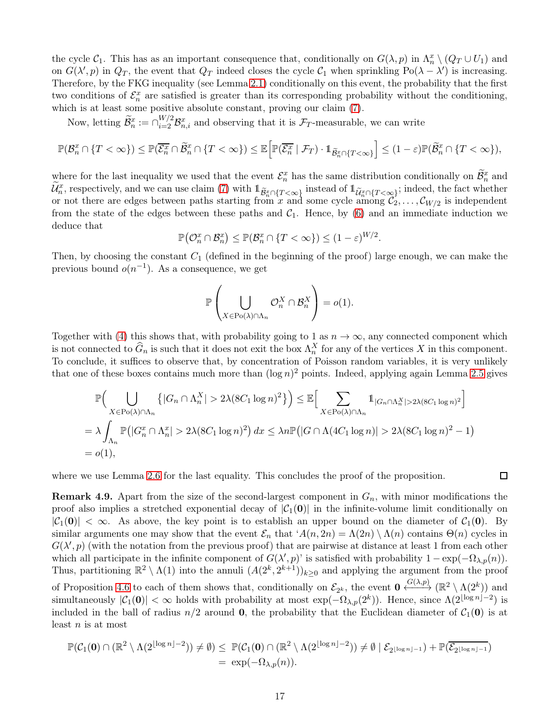the cycle  $C_1$ . This has as an important consequence that, conditionally on  $G(\lambda, p)$  in  $\Lambda_n^x \setminus (Q_T \cup U_1)$  and on  $G(\lambda', p)$  in  $Q_T$ , the event that  $Q_T$  indeed closes the cycle  $C_1$  when sprinkling  $Po(\lambda - \lambda')$  is increasing. Therefore, by the FKG inequality (see Lemma [2.1\)](#page-5-0) conditionally on this event, the probability that the first two conditions of  $\mathcal{E}_n^x$  are satisfied is greater than its corresponding probability without the conditioning, which is at least some positive absolute constant, proving our claim [\(7\)](#page-15-0).

Now, letting  $\widetilde{\mathcal{B}}_n^x := \bigcap_{i=2}^{W/2} \mathcal{B}_{n,i}^x$  and observing that it is  $\mathcal{F}_T$ -measurable, we can write

$$
\mathbb{P}(\mathcal{B}_n^x \cap \{T < \infty\}) \le \mathbb{P}(\overline{\mathcal{E}_n^x} \cap \widetilde{\mathcal{B}}_n^x \cap \{T < \infty\}) \le \mathbb{E}\Big[\mathbb{P}(\overline{\mathcal{E}_n^x} \mid \mathcal{F}_T) \cdot \mathbb{1}_{\widetilde{\mathcal{B}}_n^x \cap \{T < \infty\}}\Big] \le (1-\varepsilon)\mathbb{P}(\widetilde{\mathcal{B}}_n^x \cap \{T < \infty\}),
$$

where for the last inequality we used that the event  $\mathcal{E}_n^x$  has the same distribution conditionally on  $\widetilde{\mathcal{B}}_n^x$  and  $\widetilde{\mathcal{U}}_n^x$ , respectively, and we can use claim [\(7\)](#page-15-0) with  $\mathbb{1}_{\widetilde{\mathcal{B}}_n^x \cap \{T<\infty\}}$  instead of  $\mathbb{1}_{\widetilde{\mathcal{U}}_n^x \cap \{T<\infty\}}$ ; indeed, the fact whether or not there are edges between paths starting from x and some cycle among  $\mathcal{C}_2, \ldots, \mathcal{C}_{W/2}$  is independent from the state of the edges between these paths and  $C_1$ . Hence, by [\(6\)](#page-15-1) and an immediate induction we deduce that

$$
\mathbb{P}\big(\mathcal{O}_n^x\cap\mathcal{B}_n^x\big)\leq\mathbb{P}(\mathcal{B}_n^x\cap\{T<\infty\})\leq(1-\varepsilon)^{W/2}
$$

.

 $\Box$ 

Then, by choosing the constant  $C_1$  (defined in the beginning of the proof) large enough, we can make the previous bound  $o(n^{-1})$ . As a consequence, we get

$$
\mathbb{P}\left(\bigcup_{X\in \mathrm{Po}(\lambda)\cap \Lambda_n}\mathcal{O}_n^X\cap \mathcal{B}_n^X\right)=o(1).
$$

Together with [\(4\)](#page-13-1) this shows that, with probability going to 1 as  $n \to \infty$ , any connected component which is not connected to  $\widehat{G}_n$  is such that it does not exit the box  $\Lambda_n^X$  for any of the vertices X in this component. To conclude, it suffices to observe that, by concentration of Poisson random variables, it is very unlikely that one of these boxes contains much more than  $(\log n)^2$  points. Indeed, applying again Lemma [2.5](#page-5-5) gives

$$
\mathbb{P}\Big(\bigcup_{X \in \text{Po}(\lambda) \cap \Lambda_n} \left\{|G_n \cap \Lambda_n^X| > 2\lambda (8C_1 \log n)^2\right\}\Big) \leq \mathbb{E}\Big[\sum_{X \in \text{Po}(\lambda) \cap \Lambda_n} \mathbb{1}_{|G_n \cap \Lambda_n^X| > 2\lambda (8C_1 \log n)^2}\Big]
$$
  
=  $\lambda \int_{\Lambda_n} \mathbb{P}\big(|G_n^x \cap \Lambda_n^x| > 2\lambda (8C_1 \log n)^2\big) dx \leq \lambda n \mathbb{P}\big(|G \cap \Lambda(4C_1 \log n)| > 2\lambda (8C_1 \log n)^2 - 1\big)$   
=  $o(1),$ 

where we use Lemma [2.6](#page-6-2) for the last equality. This concludes the proof of the proposition.

<span id="page-16-0"></span>**Remark 4.9.** Apart from the size of the second-largest component in  $G_n$ , with minor modifications the proof also implies a stretched exponential decay of  $|\mathcal{C}_1(\mathbf{0})|$  in the infinite-volume limit conditionally on  $|\mathcal{C}_1(\mathbf{0})| < \infty$ . As above, the key point is to establish an upper bound on the diameter of  $\mathcal{C}_1(\mathbf{0})$ . By similar arguments one may show that the event  $\mathcal{E}_n$  that  $^{\prime}A(n, 2n) = \Lambda(2n) \setminus \Lambda(n)$  contains  $\Theta(n)$  cycles in  $G(\lambda', p)$  (with the notation from the previous proof) that are pairwise at distance at least 1 from each other which all participate in the infinite component of  $G(\lambda', p)$  is satisfied with probability  $1 - \exp(-\Omega_{\lambda, p}(n))$ . Thus, partitioning  $\mathbb{R}^2 \setminus \Lambda(1)$  into the annuli  $(A(2^k, 2^{k+1}))_{k \geq 0}$  and applying the argument from the proof of Proposition [4.6](#page-12-2) to each of them shows that, conditionally on  $\mathcal{E}_{2^k}$ , the event  $\mathbf{0} \xleftrightarrow{G(\lambda,p)} (\mathbb{R}^2 \setminus \Lambda(2^k))$  and simultaneously  $|\mathcal{C}_1(\mathbf{0})| < \infty$  holds with probability at most  $\exp(-\Omega_{\lambda,p}(2^k))$ . Hence, since  $\Lambda(2^{\lfloor \log n \rfloor - 2})$  is included in the ball of radius  $n/2$  around **0**, the probability that the Euclidean diameter of  $C_1(0)$  is at least  $n$  is at most

$$
\mathbb{P}(\mathcal{C}_1(\mathbf{0}) \cap (\mathbb{R}^2 \setminus \Lambda(2^{\lfloor \log n \rfloor - 2})) \neq \emptyset) \leq \mathbb{P}(\mathcal{C}_1(\mathbf{0}) \cap (\mathbb{R}^2 \setminus \Lambda(2^{\lfloor \log n \rfloor - 2})) \neq \emptyset \mid \mathcal{E}_{2^{\lfloor \log n \rfloor - 1}}) + \mathbb{P}(\overline{\mathcal{E}_{2^{\lfloor \log n \rfloor - 1}}})
$$
  
= 
$$
\exp(-\Omega_{\lambda, p}(n)).
$$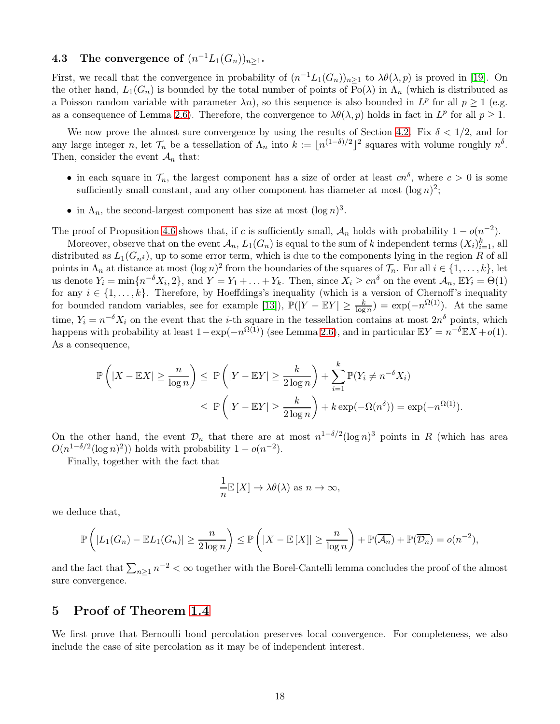# <span id="page-17-1"></span>**4.3** The convergence of  $(n^{-1}L_1(G_n))_{n\geq 1}$ .

First, we recall that the convergence in probability of  $(n^{-1}L_1(G_n))_{n\geq 1}$  to  $\lambda\theta(\lambda, p)$  is proved in [\[19\]](#page-20-1). On the other hand,  $L_1(G_n)$  is bounded by the total number of points of Po( $\lambda$ ) in  $\Lambda_n$  (which is distributed as a Poisson random variable with parameter  $\lambda n$ , so this sequence is also bounded in  $L^p$  for all  $p \ge 1$  (e.g. as a consequence of Lemma [2.6\)](#page-6-2). Therefore, the convergence to  $\lambda \theta(\lambda, p)$  holds in fact in  $L^p$  for all  $p \ge 1$ .

We now prove the almost sure convergence by using the results of Section [4.2.](#page-11-0) Fix  $\delta < 1/2$ , and for any large integer n, let  $\mathcal{T}_n$  be a tessellation of  $\Lambda_n$  into  $k := \lfloor n^{(1-\delta)/2} \rfloor^2$  squares with volume roughly  $n^{\delta}$ . Then, consider the event  $\mathcal{A}_n$  that:

- in each square in  $\mathcal{T}_n$ , the largest component has a size of order at least  $cn^{\delta}$ , where  $c > 0$  is some sufficiently small constant, and any other component has diameter at most  $(\log n)^2$ ;
- in  $\Lambda_n$ , the second-largest component has size at most  $(\log n)^3$ .

The proof of Proposition [4.6](#page-12-2) shows that, if c is sufficiently small,  $A_n$  holds with probability  $1 - o(n^{-2})$ .

Moreover, observe that on the event  $\mathcal{A}_n$ ,  $L_1(G_n)$  is equal to the sum of k independent terms  $(X_i)_{i=1}^k$ , all distributed as  $L_1(G_{n\delta})$ , up to some error term, which is due to the components lying in the region R of all points in  $\Lambda_n$  at distance at most  $(\log n)^2$  from the boundaries of the squares of  $\mathcal{T}_n$ . For all  $i \in \{1, \ldots, k\}$ , let us denote  $Y_i = \min\{n^{-\delta}X_i, 2\}$ , and  $Y = Y_1 + \ldots + Y_k$ . Then, since  $X_i \ge cn^{\delta}$  on the event  $\mathcal{A}_n$ ,  $\mathbb{E}Y_i = \Theta(1)$ for any  $i \in \{1, \ldots, k\}$ . Therefore, by Hoeffdings's inequality (which is a version of Chernoff's inequality for bounded random variables, see for example [\[13\]](#page-20-7)),  $\mathbb{P}(|Y - \mathbb{E}Y| \ge \frac{k}{\log n}) = \exp(-n^{\Omega(1)})$ . At the same time,  $Y_i = n^{-\delta} X_i$  on the event that the *i*-th square in the tessellation contains at most  $2n^{\delta}$  points, which happens with probability at least  $1 - \exp(-n^{\Omega(1)})$  (see Lemma [2.6\)](#page-6-2), and in particular  $\mathbb{E}Y = n^{-\delta}\mathbb{E}X + o(1)$ . As a consequence,

$$
\mathbb{P}\left(|X - \mathbb{E}X| \ge \frac{n}{\log n}\right) \le \mathbb{P}\left(|Y - \mathbb{E}Y| \ge \frac{k}{2\log n}\right) + \sum_{i=1}^k \mathbb{P}(Y_i \ne n^{-\delta}X_i)
$$
  

$$
\le \mathbb{P}\left(|Y - \mathbb{E}Y| \ge \frac{k}{2\log n}\right) + k\exp(-\Omega(n^{\delta})) = \exp(-n^{\Omega(1)}).
$$

On the other hand, the event  $\mathcal{D}_n$  that there are at most  $n^{1-\delta/2}(\log n)^3$  points in R (which has area  $O(n^{1-\delta/2}(\log n)^2))$  holds with probability  $1-o(n^{-2})$ .

Finally, together with the fact that

$$
\frac{1}{n}\mathbb{E}[X] \to \lambda \theta(\lambda) \text{ as } n \to \infty,
$$

we deduce that,

$$
\mathbb{P}\left(|L_1(G_n)-\mathbb{E}L_1(G_n)|\geq \frac{n}{2\log n}\right)\leq \mathbb{P}\left(|X-\mathbb{E}\left[X\right]|\geq \frac{n}{\log n}\right)+\mathbb{P}(\overline{\mathcal{A}_n})+\mathbb{P}(\overline{\mathcal{D}_n})=o(n^{-2}),
$$

and the fact that  $\sum_{n\geq 1} n^{-2} < \infty$  together with the Borel-Cantelli lemma concludes the proof of the almost sure convergence.

## <span id="page-17-0"></span>5 Proof of Theorem [1.4](#page-2-2)

We first prove that Bernoulli bond percolation preserves local convergence. For completeness, we also include the case of site percolation as it may be of independent interest.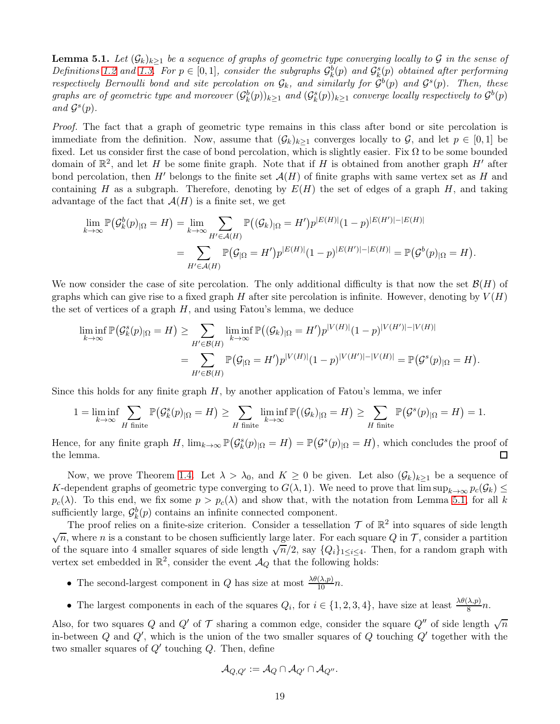<span id="page-18-0"></span>**Lemma 5.1.** Let  $(G_k)_{k\geq 1}$  be a sequence of graphs of geometric type converging locally to G in the sense of  $Definitions$  [1.2](#page-2-0) and [1.3.](#page-2-1) For  $p \in [0,1]$ , consider the subgraphs  $\mathcal{G}_k^b(p)$  and  $\mathcal{G}_k^s(p)$  obtained after performing *respectively Bernoulli bond and site percolation on*  $G_k$ , and similarly for  $G^b(p)$  and  $G^s(p)$ . Then, these  $graphs$  are of geometric type and moreover  $(\mathcal{G}_k^b(p))_{k\geq 1}$  and  $(\mathcal{G}_k^s(p))_{k\geq 1}$  converge locally respectively to  $\mathcal{G}^b(p)$  $and G<sup>s</sup>(p).$ 

*Proof.* The fact that a graph of geometric type remains in this class after bond or site percolation is immediate from the definition. Now, assume that  $(\mathcal{G}_k)_{k\geq 1}$  converges locally to  $\mathcal{G}_k$ , and let  $p \in [0,1]$  be fixed. Let us consider first the case of bond percolation, which is slightly easier. Fix  $\Omega$  to be some bounded domain of  $\mathbb{R}^2$ , and let H be some finite graph. Note that if H is obtained from another graph H' after bond percolation, then H' belongs to the finite set  $\mathcal{A}(H)$  of finite graphs with same vertex set as H and containing H as a subgraph. Therefore, denoting by  $E(H)$  the set of edges of a graph H, and taking advantage of the fact that  $\mathcal{A}(H)$  is a finite set, we get

$$
\lim_{k \to \infty} \mathbb{P}(\mathcal{G}_k^b(p)_{|\Omega} = H) = \lim_{k \to \infty} \sum_{H' \in \mathcal{A}(H)} \mathbb{P}((\mathcal{G}_k)_{|\Omega} = H') p^{|E(H)|} (1-p)^{|E(H')| - |E(H)|}
$$
  
= 
$$
\sum_{H' \in \mathcal{A}(H)} \mathbb{P}(\mathcal{G}_{|\Omega} = H') p^{|E(H)|} (1-p)^{|E(H')| - |E(H)|} = \mathbb{P}(\mathcal{G}^b(p)_{|\Omega} = H).
$$

We now consider the case of site percolation. The only additional difficulty is that now the set  $\mathcal{B}(H)$  of graphs which can give rise to a fixed graph H after site percolation is infinite. However, denoting by  $V(H)$ the set of vertices of a graph  $H$ , and using Fatou's lemma, we deduce

$$
\liminf_{k \to \infty} \mathbb{P}(\mathcal{G}_k^s(p)_{|\Omega} = H) \ge \sum_{H' \in \mathcal{B}(H)} \liminf_{k \to \infty} \mathbb{P}((\mathcal{G}_k)_{|\Omega} = H') p^{|V(H)|} (1-p)^{|V(H')| - |V(H)|}
$$
  
= 
$$
\sum_{H' \in \mathcal{B}(H)} \mathbb{P}(\mathcal{G}_{|\Omega} = H') p^{|V(H)|} (1-p)^{|V(H')| - |V(H)|} = \mathbb{P}(\mathcal{G}^s(p)_{|\Omega} = H).
$$

Since this holds for any finite graph  $H$ , by another application of Fatou's lemma, we infer

$$
1=\liminf_{k\rightarrow\infty}\sum_{H\text{ finite}}\mathbb{P}\big(\mathcal{G}_k^s(p)_{|\Omega}=H\big)\geq\sum_{H\text{ finite}}\liminf_{k\rightarrow\infty}\mathbb{P}\big((\mathcal{G}_k)_{|\Omega}=H\big)\geq\sum_{H\text{ finite}}\mathbb{P}\big(\mathcal{G}^s(p)_{|\Omega}=H\big)=1.
$$

Hence, for any finite graph H,  $\lim_{k\to\infty} \mathbb{P}(\mathcal{G}_k^s(p)_{|\Omega} = H) = \mathbb{P}(\mathcal{G}^s(p)_{|\Omega} = H)$ , which concludes the proof of the lemma. 囗

Now, we prove Theorem [1.4.](#page-2-2) Let  $\lambda > \lambda_0$ , and  $K \geq 0$  be given. Let also  $(\mathcal{G}_k)_{k\geq 1}$  be a sequence of K-dependent graphs of geometric type converging to  $G(\lambda, 1)$ . We need to prove that  $\limsup_{k\to\infty} p_c(\mathcal{G}_k) \leq$  $p_c(\lambda)$ . To this end, we fix some  $p > p_c(\lambda)$  and show that, with the notation from Lemma [5.1,](#page-18-0) for all k sufficiently large,  $\mathcal{G}_k^b(p)$  contains an infinite connected component.

The proof relies on a finite-size criterion. Consider a tessellation  $\mathcal T$  of  $\mathbb R^2$  into squares of side length  $\sqrt{n}$ , where *n* is a constant to be chosen sufficiently large later. For each square Q in  $\mathcal{T}$ , consider a partition of the square into 4 smaller squares of side length  $\sqrt{n}/2$ , say  $\{Q_i\}_{1\leq i\leq 4}$ . Then, for a random graph with vertex set embedded in  $\mathbb{R}^2$ , consider the event  $\mathcal{A}_Q$  that the following holds:

- The second-largest component in Q has size at most  $\frac{\lambda \theta(\lambda, p)}{10}n$ .
- The largest components in each of the squares  $Q_i$ , for  $i \in \{1, 2, 3, 4\}$ , have size at least  $\frac{\lambda \theta(\lambda, p)}{8}n$ .

Also, for two squares Q and Q' of  $\mathcal T$  sharing a common edge, consider the square  $Q''$  of side length  $\sqrt{n}$ in-between Q and  $Q'$ , which is the union of the two smaller squares of Q touching  $Q'$  together with the two smaller squares of Q′ touching Q. Then, define

$$
\mathcal{A}_{Q,Q'}:=\mathcal{A}_Q\cap\mathcal{A}_{Q'}\cap\mathcal{A}_{Q''}.
$$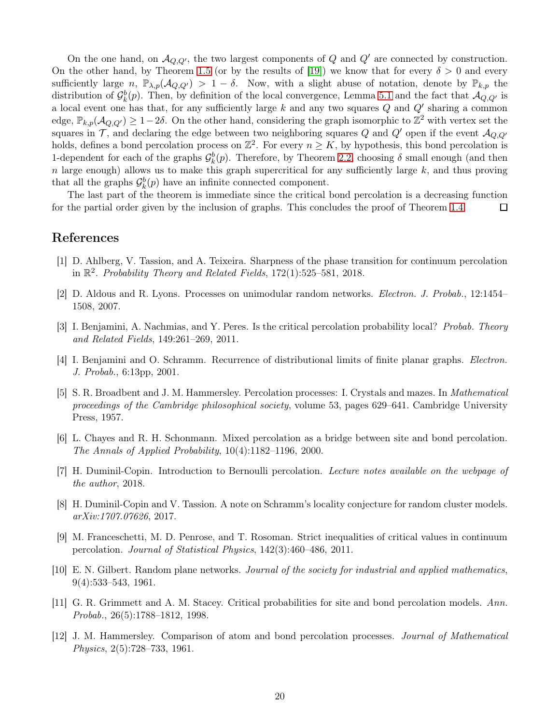On the one hand, on  $\mathcal{A}_{Q,Q'}$ , the two largest components of Q and Q' are connected by construction. On the other hand, by Theorem [1.5](#page-3-0) (or by the results of [\[19\]](#page-20-1)) we know that for every  $\delta > 0$  and every sufficiently large n,  $\mathbb{P}_{\lambda,p}(\mathcal{A}_{Q,Q'}) > 1 - \delta$ . Now, with a slight abuse of notation, denote by  $\mathbb{P}_{k,p}$  the distribution of  $\mathcal{G}_k^b(p)$ . Then, by definition of the local convergence, Lemma [5.1](#page-18-0) and the fact that  $\mathcal{A}_{Q,Q'}$  is a local event one has that, for any sufficiently large k and any two squares  $Q$  and  $Q'$  sharing a common edge,  $\mathbb{P}_{k,p}(\mathcal{A}_{Q,Q'})\geq 1-2\delta$ . On the other hand, considering the graph isomorphic to  $\mathbb{Z}^2$  with vertex set the squares in  $\mathcal{T}$ , and declaring the edge between two neighboring squares  $Q$  and  $Q'$  open if the event  $\mathcal{A}_{Q,Q'}$ holds, defines a bond percolation process on  $\mathbb{Z}^2$ . For every  $n \geq K$ , by hypothesis, this bond percolation is 1-dependent for each of the graphs  $\mathcal{G}_k^b(p)$ . Therefore, by Theorem [2.2,](#page-5-2) choosing  $\delta$  small enough (and then  $n$  large enough) allows us to make this graph supercritical for any sufficiently large  $k$ , and thus proving that all the graphs  $\mathcal{G}_k^b(p)$  have an infinite connected component.

The last part of the theorem is immediate since the critical bond percolation is a decreasing function for the partial order given by the inclusion of graphs. This concludes the proof of Theorem [1.4.](#page-2-2)  $\Box$ 

# <span id="page-19-11"></span>References

- <span id="page-19-8"></span>[1] D. Ahlberg, V. Tassion, and A. Teixeira. Sharpness of the phase transition for continuum percolation in R 2 . *Probability Theory and Related Fields*, 172(1):525–581, 2018.
- <span id="page-19-4"></span>[2] D. Aldous and R. Lyons. Processes on unimodular random networks. *Electron. J. Probab.*, 12:1454– 1508, 2007.
- <span id="page-19-9"></span>[3] I. Benjamini, A. Nachmias, and Y. Peres. Is the critical percolation probability local? *Probab. Theory and Related Fields*, 149:261–269, 2011.
- <span id="page-19-0"></span>[4] I. Benjamini and O. Schramm. Recurrence of distributional limits of finite planar graphs. *Electron. J. Probab.*, 6:13pp, 2001.
- [5] S. R. Broadbent and J. M. Hammersley. Percolation processes: I. Crystals and mazes. In *Mathematical proceedings of the Cambridge philosophical society*, volume 53, pages 629–641. Cambridge University Press, 1957.
- <span id="page-19-2"></span>[6] L. Chayes and R. H. Schonmann. Mixed percolation as a bridge between site and bond percolation. *The Annals of Applied Probability*, 10(4):1182–1196, 2000.
- <span id="page-19-10"></span><span id="page-19-7"></span>[7] H. Duminil-Copin. Introduction to Bernoulli percolation. *Lecture notes available on the webpage of the author*, 2018.
- <span id="page-19-6"></span>[8] H. Duminil-Copin and V. Tassion. A note on Schramm's locality conjecture for random cluster models. *arXiv:1707.07626*, 2017.
- [9] M. Franceschetti, M. D. Penrose, and T. Rosoman. Strict inequalities of critical values in continuum percolation. *Journal of Statistical Physics*, 142(3):460–486, 2011.
- <span id="page-19-1"></span>[10] E. N. Gilbert. Random plane networks. *Journal of the society for industrial and applied mathematics*, 9(4):533–543, 1961.
- <span id="page-19-3"></span>[11] G. R. Grimmett and A. M. Stacey. Critical probabilities for site and bond percolation models. *Ann. Probab.*, 26(5):1788–1812, 1998.
- <span id="page-19-5"></span>[12] J. M. Hammersley. Comparison of atom and bond percolation processes. *Journal of Mathematical Physics*, 2(5):728–733, 1961.